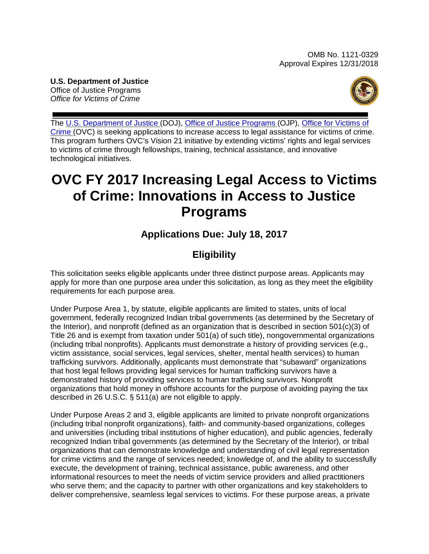#### <span id="page-0-0"></span>**U.S. Department of Justice** Office of Justice Programs *Office for Victims of Crime*



The [U.S. Department of Justice \(](http://www.usdoj.gov/)DOJ), [Office of Justice Programs \(](http://www.ojp.usdoj.gov/)OJP), [Office for Victims of](http://www.ovc.gov/)  [Crime](http://www.ovc.gov/) (OVC) is seeking applications to increase access to legal assistance for victims of crime. This program furthers OVC's Vision 21 initiative by extending victims' rights and legal services to victims of crime through fellowships, training, technical assistance, and innovative technological initiatives.

# **OVC FY 2017 Increasing Legal Access to Victims of Crime: Innovations in Access to Justice Programs**

# **Applications Due: July 18, 2017**

# **Eligibility**

This solicitation seeks eligible applicants under three distinct purpose areas. Applicants may apply for more than one purpose area under this solicitation, as long as they meet the eligibility requirements for each purpose area.

Under Purpose Area 1, by statute, eligible applicants are limited to states, units of local government, federally recognized Indian tribal governments (as determined by the Secretary of the Interior), and nonprofit (defined as an organization that is described in section 501(c)(3) of Title 26 and is exempt from taxation under 501(a) of such title), nongovernmental organizations (including tribal nonprofits). Applicants must demonstrate a history of providing services (e.g., victim assistance, social services, legal services, shelter, mental health services) to human trafficking survivors. Additionally, applicants must demonstrate that "subaward" organizations that host legal fellows providing legal services for human trafficking survivors have a demonstrated history of providing services to human trafficking survivors. Nonprofit organizations that hold money in offshore accounts for the purpose of avoiding paying the tax described in 26 U.S.C. § 511(a) are not eligible to apply.

Under Purpose Areas 2 and 3, eligible applicants are limited to private nonprofit organizations (including tribal nonprofit organizations), faith- and community-based organizations, colleges and universities (including tribal institutions of higher education), and public agencies, federally recognized Indian tribal governments (as determined by the Secretary of the Interior), or tribal organizations that can demonstrate knowledge and understanding of civil legal representation for crime victims and the range of services needed; knowledge of, and the ability to successfully execute, the development of training, technical assistance, public awareness, and other informational resources to meet the needs of victim service providers and allied practitioners who serve them; and the capacity to partner with other organizations and key stakeholders to deliver comprehensive, seamless legal services to victims. For these purpose areas, a private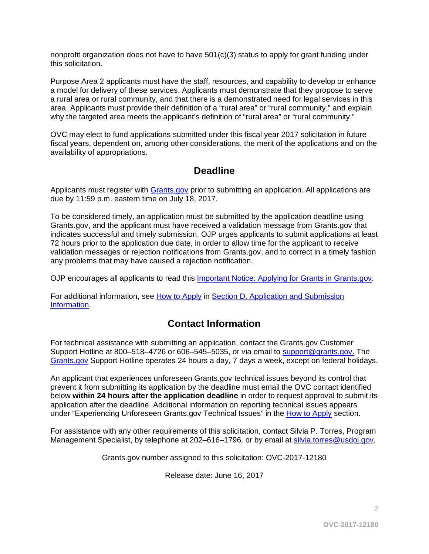nonprofit organization does not have to have  $501(c)(3)$  status to apply for grant funding under this solicitation.

Purpose Area 2 applicants must have the staff, resources, and capability to develop or enhance a model for delivery of these services. Applicants must demonstrate that they propose to serve a rural area or rural community, and that there is a demonstrated need for legal services in this area. Applicants must provide their definition of a "rural area" or "rural community," and explain why the targeted area meets the applicant's definition of "rural area" or "rural community."

OVC may elect to fund applications submitted under this fiscal year 2017 solicitation in future fiscal years, dependent on, among other considerations, the merit of the applications and on the availability of appropriations.

# **Deadline**

Applicants must register with [Grants.gov](http://www.grants.gov/web/grants/register.html) prior to submitting an application. All applications are due by 11:59 p.m. eastern time on July 18, 2017.

To be considered timely, an application must be submitted by the application deadline using Grants.gov, and the applicant must have received a validation message from Grants.gov that indicates successful and timely submission. OJP urges applicants to submit applications at least 72 hours prior to the application due date, in order to allow time for the applicant to receive validation messages or rejection notifications from Grants.gov, and to correct in a timely fashion any problems that may have caused a rejection notification.

OJP encourages all applicants to read this [Important Notice: Applying for Grants in Grants.gov.](http://ojp.gov/funding/Apply/Grants-govInfo.htm)

For additional information, see [How to Apply](#page-35-0) in Section D. Application and Submission [Information.](#page-14-0)

# **Contact Information**

For technical assistance with submitting an application, contact the Grants.gov Customer Support Hotline at 800–518–4726 or 606–545–5035, or via email to [support@grants.gov.](mailto:support@grants.gov) The [Grants.gov](http://www.grants.gov/web/grants/support.html) Support Hotline operates 24 hours a day, 7 days a week, except on federal holidays.

An applicant that experiences unforeseen Grants.gov technical issues beyond its control that prevent it from submitting its application by the deadline must email the OVC contact identified below **within 24 hours after the application deadline** in order to request approval to submit its application after the deadline. Additional information on reporting technical issues appears under "Experiencing Unforeseen Grants.gov Technical Issues" in the [How to Apply](#page-35-0) section.

For assistance with any other requirements of this solicitation, contact Silvia P. Torres, Program Management Specialist, by telephone at 202–616–1796*,* or by email at [silvia.torres@usdoj.gov](mailto:silvia.torres@usdoj.gov)*.*

Grants.gov number assigned to this solicitation: OVC-2017-12180

Release date: June 16, 2017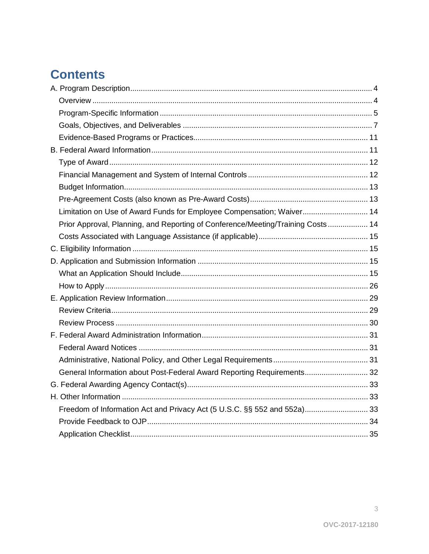# **Contents**

| Limitation on Use of Award Funds for Employee Compensation; Waiver 14           |  |
|---------------------------------------------------------------------------------|--|
| Prior Approval, Planning, and Reporting of Conference/Meeting/Training Costs 14 |  |
|                                                                                 |  |
|                                                                                 |  |
|                                                                                 |  |
|                                                                                 |  |
|                                                                                 |  |
|                                                                                 |  |
|                                                                                 |  |
|                                                                                 |  |
|                                                                                 |  |
|                                                                                 |  |
|                                                                                 |  |
| General Information about Post-Federal Award Reporting Requirements 32          |  |
|                                                                                 |  |
|                                                                                 |  |
| Freedom of Information Act and Privacy Act (5 U.S.C. §§ 552 and 552a) 33        |  |
|                                                                                 |  |
|                                                                                 |  |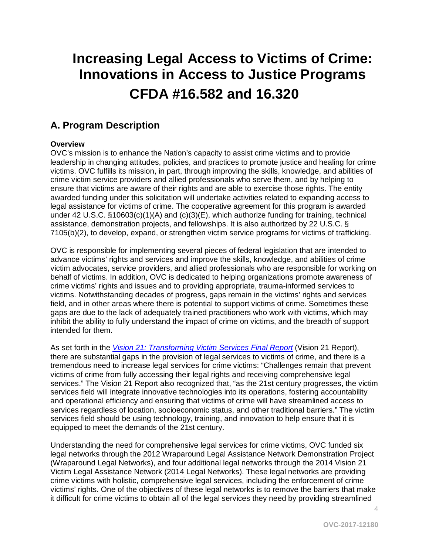# **Increasing Legal Access to Victims of Crime: Innovations in Access to Justice Programs CFDA #16.582 and 16.320**

# <span id="page-3-0"></span>**A. Program Description**

## <span id="page-3-1"></span>**Overview**

OVC's mission is to enhance the Nation's capacity to assist crime victims and to provide leadership in changing attitudes, policies, and practices to promote justice and healing for crime victims. OVC fulfills its mission, in part, through improving the skills, knowledge, and abilities of crime victim service providers and allied professionals who serve them, and by helping to ensure that victims are aware of their rights and are able to exercise those rights. The entity awarded funding under this solicitation will undertake activities related to expanding access to legal assistance for victims of crime. The cooperative agreement for this program is awarded under 42 U.S.C. §10603(c)(1)(A) and (c)(3)(E), which authorize funding for training, technical assistance, demonstration projects, and fellowships. It is also authorized by 22 U.S.C. § 7105(b)(2), to develop, expand, or strengthen victim service programs for victims of trafficking.

OVC is responsible for implementing several pieces of federal legislation that are intended to advance victims' rights and services and improve the skills, knowledge, and abilities of crime victim advocates, service providers, and allied professionals who are responsible for working on behalf of victims. In addition, OVC is dedicated to helping organizations promote awareness of crime victims' rights and issues and to providing appropriate, trauma-informed services to victims. Notwithstanding decades of progress, gaps remain in the victims' rights and services field, and in other areas where there is potential to support victims of crime. Sometimes these gaps are due to the lack of adequately trained practitioners who work with victims, which may inhibit the ability to fully understand the impact of crime on victims, and the breadth of support intended for them.

As set forth in the *[Vision 21: Transforming Victim Services Final Report](https://ovc.ncjrs.gov/vision21/pdfs/Vision21_Report.pdf)* (Vision 21 Report), there are substantial gaps in the provision of legal services to victims of crime, and there is a tremendous need to increase legal services for crime victims: "Challenges remain that prevent victims of crime from fully accessing their legal rights and receiving comprehensive legal services." The Vision 21 Report also recognized that, "as the 21st century progresses, the victim services field will integrate innovative technologies into its operations, fostering accountability and operational efficiency and ensuring that victims of crime will have streamlined access to services regardless of location, socioeconomic status, and other traditional barriers." The victim services field should be using technology, training, and innovation to help ensure that it is equipped to meet the demands of the 21st century.

Understanding the need for comprehensive legal services for crime victims, OVC funded six legal networks through the 2012 Wraparound Legal Assistance Network Demonstration Project (Wraparound Legal Networks), and four additional legal networks through the 2014 Vision 21 Victim Legal Assistance Network (2014 Legal Networks). These legal networks are providing crime victims with holistic, comprehensive legal services, including the enforcement of crime victims' rights. One of the objectives of these legal networks is to remove the barriers that make it difficult for crime victims to obtain all of the legal services they need by providing streamlined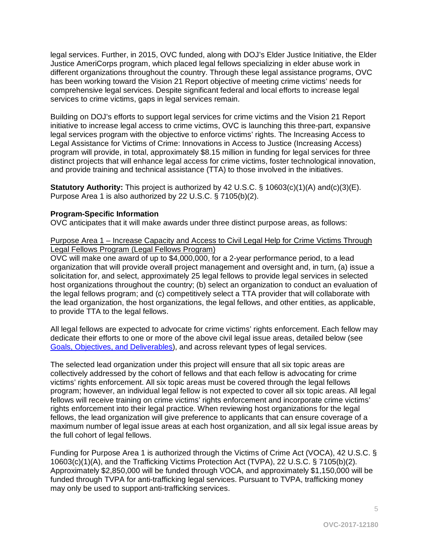legal services. Further, in 2015, OVC funded, along with DOJ's Elder Justice Initiative, the Elder Justice AmeriCorps program, which placed legal fellows specializing in elder abuse work in different organizations throughout the country. Through these legal assistance programs, OVC has been working toward the Vision 21 Report objective of meeting crime victims' needs for comprehensive legal services. Despite significant federal and local efforts to increase legal services to crime victims, gaps in legal services remain.

Building on DOJ's efforts to support legal services for crime victims and the Vision 21 Report initiative to increase legal access to crime victims, OVC is launching this three-part, expansive legal services program with the objective to enforce victims' rights. The Increasing Access to Legal Assistance for Victims of Crime: Innovations in Access to Justice (Increasing Access) program will provide, in total, approximately \$8.15 million in funding for legal services for three distinct projects that will enhance legal access for crime victims, foster technological innovation, and provide training and technical assistance (TTA) to those involved in the initiatives.

**Statutory Authority:** This project is authorized by 42 U.S.C. § 10603(c)(1)(A) and(c)(3)(E). Purpose Area 1 is also authorized by 22 U.S.C. § 7105(b)(2).

## <span id="page-4-0"></span>**Program-Specific Information**

OVC anticipates that it will make awards under three distinct purpose areas, as follows:

#### Purpose Area 1 – Increase Capacity and Access to Civil Legal Help for Crime Victims Through Legal Fellows Program (Legal Fellows Program)

OVC will make one award of up to \$4,000,000, for a 2-year performance period, to a lead organization that will provide overall project management and oversight and, in turn, (a) issue a solicitation for, and select, approximately 25 legal fellows to provide legal services in selected host organizations throughout the country; (b) select an organization to conduct an evaluation of the legal fellows program; and (c) competitively select a TTA provider that will collaborate with the lead organization, the host organizations, the legal fellows, and other entities, as applicable, to provide TTA to the legal fellows.

All legal fellows are expected to advocate for crime victims' rights enforcement. Each fellow may dedicate their efforts to one or more of the above civil legal issue areas, detailed below (see [Goals, Objectives, and Deliverables\)](#page-6-0), and across relevant types of legal services.

The selected lead organization under this project will ensure that all six topic areas are collectively addressed by the cohort of fellows and that each fellow is advocating for crime victims' rights enforcement. All six topic areas must be covered through the legal fellows program; however, an individual legal fellow is not expected to cover all six topic areas. All legal fellows will receive training on crime victims' rights enforcement and incorporate crime victims' rights enforcement into their legal practice. When reviewing host organizations for the legal fellows, the lead organization will give preference to applicants that can ensure coverage of a maximum number of legal issue areas at each host organization, and all six legal issue areas by the full cohort of legal fellows.

Funding for Purpose Area 1 is authorized through the Victims of Crime Act (VOCA), 42 U.S.C. § 10603(c)(1)(A), and the Trafficking Victims Protection Act (TVPA), 22 U.S.C. § 7105(b)(2). Approximately \$2,850,000 will be funded through VOCA, and approximately \$1,150,000 will be funded through TVPA for anti-trafficking legal services. Pursuant to TVPA, trafficking money may only be used to support anti-trafficking services.

5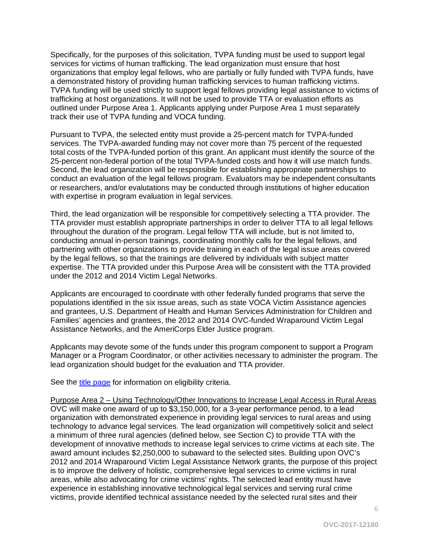Specifically, for the purposes of this solicitation, TVPA funding must be used to support legal services for victims of human trafficking. The lead organization must ensure that host organizations that employ legal fellows, who are partially or fully funded with TVPA funds, have a demonstrated history of providing human trafficking services to human trafficking victims. TVPA funding will be used strictly to support legal fellows providing legal assistance to victims of trafficking at host organizations. It will not be used to provide TTA or evaluation efforts as outlined under Purpose Area 1. Applicants applying under Purpose Area 1 must separately track their use of TVPA funding and VOCA funding.

Pursuant to TVPA, the selected entity must provide a 25-percent match for TVPA-funded services. The TVPA-awarded funding may not cover more than 75 percent of the requested total costs of the TVPA-funded portion of this grant. An applicant must identify the source of the 25-percent non-federal portion of the total TVPA-funded costs and how it will use match funds. Second, the lead organization will be responsible for establishing appropriate partnerships to conduct an evaluation of the legal fellows program. Evaluators may be independent consultants or researchers, and/or evalutations may be conducted through institutions of higher education with expertise in program evaluation in legal services.

Third, the lead organization will be responsible for competitively selecting a TTA provider. The TTA provider must establish appropriate partnerships in order to deliver TTA to all legal fellows throughout the duration of the program. Legal fellow TTA will include, but is not limited to, conducting annual in-person trainings, coordinating monthly calls for the legal fellows, and partnering with other organizations to provide training in each of the legal issue areas covered by the legal fellows, so that the trainings are delivered by individuals with subject matter expertise. The TTA provided under this Purpose Area will be consistent with the TTA provided under the 2012 and 2014 Victim Legal Networks.

Applicants are encouraged to coordinate with other federally funded programs that serve the populations identified in the six issue areas, such as state VOCA Victim Assistance agencies and grantees, U.S. Department of Health and Human Services Administration for Children and Families' agencies and grantees, the 2012 and 2014 OVC-funded Wraparound Victim Legal Assistance Networks, and the AmeriCorps Elder Justice program.

Applicants may devote some of the funds under this program component to support a Program Manager or a Program Coordinator, or other activities necessary to administer the program. The lead organization should budget for the evaluation and TTA provider.

See the [title page](#page-0-0) for information on eligibility criteria.

Purpose Area 2 – Using Technology/Other Innovations to Increase Legal Access in Rural Areas OVC will make one award of up to \$3,150,000, for a 3-year performance period, to a lead organization with demonstrated experience in providing legal services to rural areas and using technology to advance legal services. The lead organization will competitively solicit and select a minimum of three rural agencies (defined below, see Section C) to provide TTA with the development of innovative methods to increase legal services to crime victims at each site. The award amount includes \$2,250,000 to subaward to the selected sites. Building upon OVC's 2012 and 2014 Wraparound Victim Legal Assistance Network grants, the purpose of this project is to improve the delivery of holistic, comprehensive legal services to crime victims in rural areas, while also advocating for crime victims' rights. The selected lead entity must have experience in establishing innovative technological legal services and serving rural crime victims, provide identified technical assistance needed by the selected rural sites and their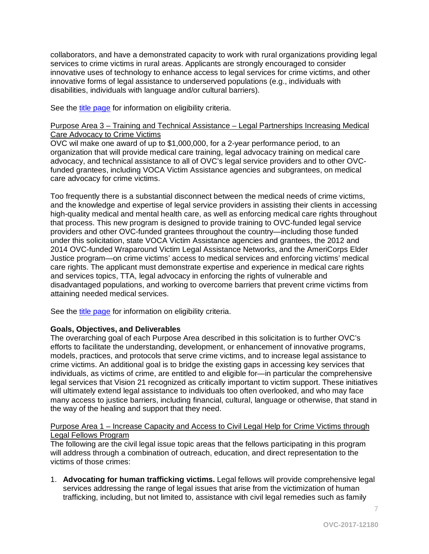collaborators, and have a demonstrated capacity to work with rural organizations providing legal services to crime victims in rural areas. Applicants are strongly encouraged to consider innovative uses of technology to enhance access to legal services for crime victims, and other innovative forms of legal assistance to underserved populations (e.g., individuals with disabilities, individuals with language and/or cultural barriers).

See the [title page](#page-0-0) for information on eligibility criteria.

#### Purpose Area 3 – Training and Technical Assistance – Legal Partnerships Increasing Medical Care Advocacy to Crime Victims

OVC wil make one award of up to \$1,000,000, for a 2-year performance period, to an organization that will provide medical care training, legal advocacy training on medical care advocacy, and technical assistance to all of OVC's legal service providers and to other OVCfunded grantees, including VOCA Victim Assistance agencies and subgrantees, on medical care advocacy for crime victims.

Too frequently there is a substantial disconnect between the medical needs of crime victims, and the knowledge and expertise of legal service providers in assisting their clients in accessing high-quality medical and mental health care, as well as enforcing medical care rights throughout that process. This new program is designed to provide training to OVC-funded legal service providers and other OVC-funded grantees throughout the country—including those funded under this solicitation, state VOCA Victim Assistance agencies and grantees, the 2012 and 2014 OVC-funded Wraparound Victim Legal Assistance Networks, and the AmeriCorps Elder Justice program—on crime victims' access to medical services and enforcing victims' medical care rights. The applicant must demonstrate expertise and experience in medical care rights and services topics, TTA, legal advocacy in enforcing the rights of vulnerable and disadvantaged populations, and working to overcome barriers that prevent crime victims from attaining needed medical services.

See the *title page* for information on eligibility criteria.

#### <span id="page-6-0"></span>**Goals, Objectives, and Deliverables**

The overarching goal of each Purpose Area described in this solicitation is to further OVC's efforts to facilitate the understanding, development, or enhancement of innovative programs, models, practices, and protocols that serve crime victims, and to increase legal assistance to crime victims. An additional goal is to bridge the existing gaps in accessing key services that individuals, as victims of crime, are entitled to and eligible for—in particular the comprehensive legal services that Vision 21 recognized as critically important to victim support. These initiatives will ultimately extend legal assistance to individuals too often overlooked, and who may face many access to justice barriers, including financial, cultural, language or otherwise, that stand in the way of the healing and support that they need.

#### Purpose Area 1 – Increase Capacity and Access to Civil Legal Help for Crime Victims through Legal Fellows Program

The following are the civil legal issue topic areas that the fellows participating in this program will address through a combination of outreach, education, and direct representation to the victims of those crimes:

1. **Advocating for human trafficking victims.** Legal fellows will provide comprehensive legal services addressing the range of legal issues that arise from the victimization of human trafficking, including, but not limited to, assistance with civil legal remedies such as family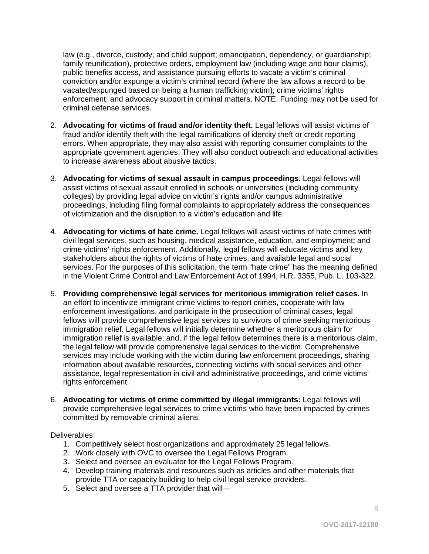law (e.g., divorce, custody, and child support; emancipation, dependency, or guardianship; family reunification), protective orders, employment law (including wage and hour claims), public benefits access, and assistance pursuing efforts to vacate a victim's criminal conviction and/or expunge a victim's criminal record (where the law allows a record to be vacated/expunged based on being a human trafficking victim); crime victims' rights enforcement; and advocacy support in criminal matters. NOTE: Funding may not be used for criminal defense services.

- 2. **Advocating for victims of fraud and/or identity theft.** Legal fellows will assist victims of fraud and/or identify theft with the legal ramifications of identity theft or credit reporting errors. When appropriate, they may also assist with reporting consumer complaints to the appropriate government agencies. They will also conduct outreach and educational activities to increase awareness about abusive tactics.
- 3. **Advocating for victims of sexual assault in campus proceedings.** Legal fellows will assist victims of sexual assault enrolled in schools or universities (including community colleges) by providing legal advice on victim's rights and/or campus administrative proceedings, including filing formal complaints to appropriately address the consequences of victimization and the disruption to a victim's education and life.
- 4. **Advocating for victims of hate crime.** Legal fellows will assist victims of hate crimes with civil legal services, such as housing, medical assistance, education, and employment; and crime victims' rights enforcement. Additionally, legal fellows will educate victims and key stakeholders about the rights of victims of hate crimes, and available legal and social services. For the purposes of this solicitation, the term "hate crime" has the meaning defined in the Violent Crime Control and Law Enforcement Act of 1994, H.R. 3355, Pub. L. 103-322.
- 5. **Providing comprehensive legal services for meritorious immigration relief cases.** In an effort to incentivize immigrant crime victims to report crimes, cooperate with law enforcement investigations, and participate in the prosecution of criminal cases, legal fellows will provide comprehensive legal services to survivors of crime seeking meritorious immigration relief. Legal fellows will initially determine whether a meritorious claim for immigration relief is available; and, if the legal fellow determines there is a meritorious claim, the legal fellow will provide comprehensive legal services to the victim. Comprehensive services may include working with the victim during law enforcement proceedings, sharing information about available resources, connecting victims with social services and other assistance, legal representation in civil and administrative proceedings, and crime victims' rights enforcement.
- 6. **Advocating for victims of crime committed by illegal immigrants:** Legal fellows will provide comprehensive legal services to crime victims who have been impacted by crimes committed by removable criminal aliens.

Deliverables:

- 1. Competitively select host organizations and approximately 25 legal fellows.
- 2. Work closely with OVC to oversee the Legal Fellows Program.
- 3. Select and oversee an evaluator for the Legal Fellows Program.
- 4. Develop training materials and resources such as articles and other materials that provide TTA or capacity building to help civil legal service providers.
- 5. Select and oversee a TTA provider that will—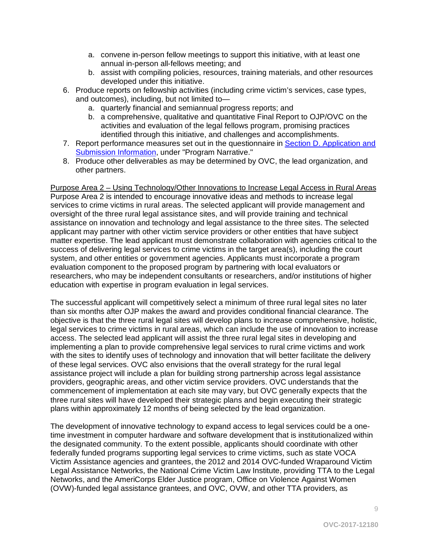- a. convene in-person fellow meetings to support this initiative, with at least one annual in-person all-fellows meeting; and
- b. assist with compiling policies, resources, training materials, and other resources developed under this initiative.
- 6. Produce reports on fellowship activities (including crime victim's services, case types, and outcomes), including, but not limited to
	- a. quarterly financial and semiannual progress reports; and
	- b. a comprehensive, qualitative and quantitative Final Report to OJP/OVC on the activities and evaluation of the legal fellows program, promising practices identified through this initiative, and challenges and accomplishments.
- 7. Report performance measures set out in the questionnaire in [Section D. Application and](#page-35-0)  [Submission Information,](#page-35-0) under "Program Narrative."
- 8. Produce other deliverables as may be determined by OVC, the lead organization, and other partners.

Purpose Area 2 – Using Technology/Other Innovations to Increase Legal Access in Rural Areas Purpose Area 2 is intended to encourage innovative ideas and methods to increase legal services to crime victims in rural areas. The selected applicant will provide management and oversight of the three rural legal assistance sites, and will provide training and technical assistance on innovation and technology and legal assistance to the three sites. The selected applicant may partner with other victim service providers or other entities that have subject matter expertise. The lead applicant must demonstrate collaboration with agencies critical to the success of delivering legal services to crime victims in the target area(s), including the court system, and other entities or government agencies. Applicants must incorporate a program evaluation component to the proposed program by partnering with local evaluators or researchers, who may be independent consultants or researchers, and/or institutions of higher education with expertise in program evaluation in legal services.

The successful applicant will competitively select a minimum of three rural legal sites no later than six months after OJP makes the award and provides conditional financial clearance. The objective is that the three rural legal sites will develop plans to increase comprehensive, holistic, legal services to crime victims in rural areas, which can include the use of innovation to increase access. The selected lead applicant will assist the three rural legal sites in developing and implementing a plan to provide comprehensive legal services to rural crime victims and work with the sites to identify uses of technology and innovation that will better facilitate the delivery of these legal services. OVC also envisions that the overall strategy for the rural legal assistance project will include a plan for building strong partnership across legal assistance providers, geographic areas, and other victim service providers. OVC understands that the commencement of implementation at each site may vary, but OVC generally expects that the three rural sites will have developed their strategic plans and begin executing their strategic plans within approximately 12 months of being selected by the lead organization.

The development of innovative technology to expand access to legal services could be a onetime investment in computer hardware and software development that is institutionalized within the designated community. To the extent possible, applicants should coordinate with other federally funded programs supporting legal services to crime victims, such as state VOCA Victim Assistance agencies and grantees, the 2012 and 2014 OVC-funded Wraparound Victim Legal Assistance Networks, the National Crime Victim Law Institute, providing TTA to the Legal Networks, and the AmeriCorps Elder Justice program, Office on Violence Against Women (OVW)-funded legal assistance grantees, and OVC, OVW, and other TTA providers, as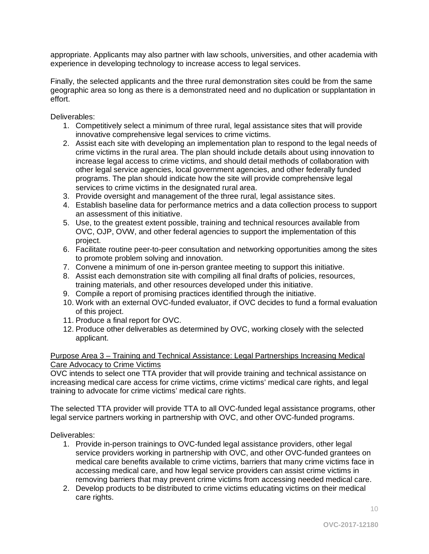appropriate. Applicants may also partner with law schools, universities, and other academia with experience in developing technology to increase access to legal services.

Finally, the selected applicants and the three rural demonstration sites could be from the same geographic area so long as there is a demonstrated need and no duplication or supplantation in effort.

Deliverables:

- 1. Competitively select a minimum of three rural, legal assistance sites that will provide innovative comprehensive legal services to crime victims.
- 2. Assist each site with developing an implementation plan to respond to the legal needs of crime victims in the rural area. The plan should include details about using innovation to increase legal access to crime victims, and should detail methods of collaboration with other legal service agencies, local government agencies, and other federally funded programs. The plan should indicate how the site will provide comprehensive legal services to crime victims in the designated rural area.
- 3. Provide oversight and management of the three rural, legal assistance sites.
- 4. Establish baseline data for performance metrics and a data collection process to support an assessment of this initiative.
- 5. Use, to the greatest extent possible, training and technical resources available from OVC, OJP, OVW, and other federal agencies to support the implementation of this project.
- 6. Facilitate routine peer-to-peer consultation and networking opportunities among the sites to promote problem solving and innovation.
- 7. Convene a minimum of one in-person grantee meeting to support this initiative.
- 8. Assist each demonstration site with compiling all final drafts of policies, resources, training materials, and other resources developed under this initiative.
- 9. Compile a report of promising practices identified through the initiative.
- 10. Work with an external OVC-funded evaluator, if OVC decides to fund a formal evaluation of this project.
- 11. Produce a final report for OVC.
- 12. Produce other deliverables as determined by OVC, working closely with the selected applicant.

#### Purpose Area 3 – Training and Technical Assistance: Legal Partnerships Increasing Medical Care Advocacy to Crime Victims

OVC intends to select one TTA provider that will provide training and technical assistance on increasing medical care access for crime victims, crime victims' medical care rights, and legal training to advocate for crime victims' medical care rights.

The selected TTA provider will provide TTA to all OVC-funded legal assistance programs, other legal service partners working in partnership with OVC, and other OVC-funded programs.

Deliverables:

- 1. Provide in-person trainings to OVC-funded legal assistance providers, other legal service providers working in partnership with OVC, and other OVC-funded grantees on medical care benefits available to crime victims, barriers that many crime victims face in accessing medical care, and how legal service providers can assist crime victims in removing barriers that may prevent crime victims from accessing needed medical care.
- 2. Develop products to be distributed to crime victims educating victims on their medical care rights.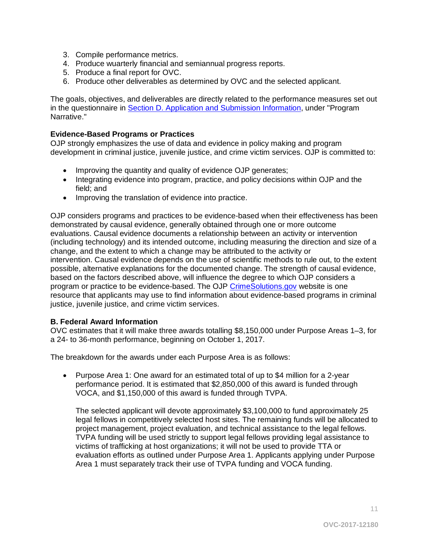- 3. Compile performance metrics.
- 4. Produce wuarterly financial and semiannual progress reports.
- 5. Produce a final report for OVC.
- 6. Produce other deliverables as determined by OVC and the selected applicant.

The goals, objectives, and deliverables are directly related to the performance measures set out in the questionnaire in [Section D. Application and Submission Information,](#page-35-0) under "Program Narrative."

#### <span id="page-10-0"></span>**Evidence-Based Programs or Practices**

OJP strongly emphasizes the use of data and evidence in policy making and program development in criminal justice, juvenile justice, and crime victim services. OJP is committed to:

- Improving the quantity and quality of evidence OJP generates;
- Integrating evidence into program, practice, and policy decisions within OJP and the field; and
- Improving the translation of evidence into practice.

OJP considers programs and practices to be evidence-based when their effectiveness has been demonstrated by causal evidence, generally obtained through one or more outcome evaluations. Causal evidence documents a relationship between an activity or intervention (including technology) and its intended outcome, including measuring the direction and size of a change, and the extent to which a change may be attributed to the activity or intervention. Causal evidence depends on the use of scientific methods to rule out, to the extent possible, alternative explanations for the documented change. The strength of causal evidence, based on the factors described above, will influence the degree to which OJP considers a program or practice to be evidence-based. The OJP [CrimeSolutions.gov](http://www.crimesolutions.gov/) website is one resource that applicants may use to find information about evidence-based programs in criminal justice, juvenile justice, and crime victim services.

#### <span id="page-10-1"></span>**B. Federal Award Information**

OVC estimates that it will make three awards totalling \$8,150,000 under Purpose Areas 1–3, for a 24- to 36-month performance, beginning on October 1, 2017.

The breakdown for the awards under each Purpose Area is as follows:

• Purpose Area 1: One award for an estimated total of up to \$4 million for a 2-year performance period. It is estimated that \$2,850,000 of this award is funded through VOCA, and \$1,150,000 of this award is funded through TVPA.

The selected applicant will devote approximately \$3,100,000 to fund approximately 25 legal fellows in competitively selected host sites. The remaining funds will be allocated to project management, project evaluation, and technical assistance to the legal fellows. TVPA funding will be used strictly to support legal fellows providing legal assistance to victims of trafficking at host organizations; it will not be used to provide TTA or evaluation efforts as outlined under Purpose Area 1. Applicants applying under Purpose Area 1 must separately track their use of TVPA funding and VOCA funding.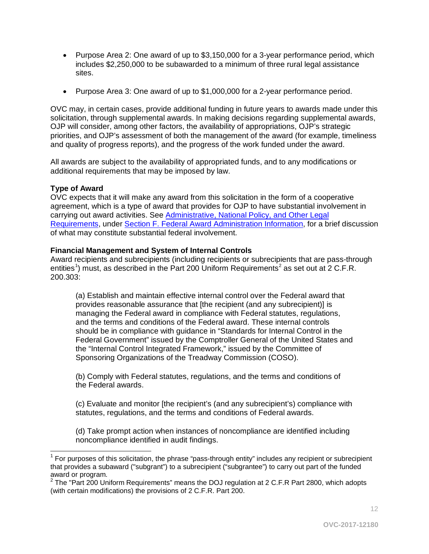- Purpose Area 2: One award of up to \$3,150,000 for a 3-year performance period, which includes \$2,250,000 to be subawarded to a minimum of three rural legal assistance sites.
- Purpose Area 3: One award of up to \$1,000,000 for a 2-year performance period.

OVC may, in certain cases, provide additional funding in future years to awards made under this solicitation, through supplemental awards. In making decisions regarding supplemental awards, OJP will consider, among other factors, the availability of appropriations, OJP's strategic priorities, and OJP's assessment of both the management of the award (for example, timeliness and quality of progress reports), and the progress of the work funded under the award.

All awards are subject to the availability of appropriated funds, and to any modifications or additional requirements that may be imposed by law.

#### <span id="page-11-0"></span>**Type of Award**

OVC expects that it will make any award from this solicitation in the form of a cooperative agreement, which is a type of award that provides for OJP to have substantial involvement in carrying out award activities. See [Administrative, National Policy, and Other Legal](#page-35-0)  [Requirements,](#page-35-0) under [Section F. Federal Award Administration Information,](#page-35-0) for a brief discussion of what may constitute substantial federal involvement.

#### <span id="page-11-1"></span>**Financial Management and System of Internal Controls**

Award recipients and subrecipients (including recipients or subrecipients that are pass-through entities<sup>[1](#page-11-2)</sup>) must, as described in the Part [2](#page-11-3)00 Uniform Requirements<sup>2</sup> as set out at 2 C.F.R. 200.303:

(a) Establish and maintain effective internal control over the Federal award that provides reasonable assurance that [the recipient (and any subrecipient)] is managing the Federal award in compliance with Federal statutes, regulations, and the terms and conditions of the Federal award. These internal controls should be in compliance with guidance in "Standards for Internal Control in the Federal Government" issued by the Comptroller General of the United States and the "Internal Control Integrated Framework," issued by the Committee of Sponsoring Organizations of the Treadway Commission (COSO).

(b) Comply with Federal statutes, regulations, and the terms and conditions of the Federal awards.

(c) Evaluate and monitor [the recipient's (and any subrecipient's) compliance with statutes, regulations, and the terms and conditions of Federal awards.

(d) Take prompt action when instances of noncompliance are identified including noncompliance identified in audit findings.

<span id="page-11-2"></span> $\overline{\phantom{a}}$  $<sup>1</sup>$  For purposes of this solicitation, the phrase "pass-through entity" includes any recipient or subrecipient</sup> that provides a subaward ("subgrant") to a subrecipient ("subgrantee") to carry out part of the funded award or program.

<span id="page-11-3"></span><sup>2</sup> The "Part 200 Uniform Requirements" means the DOJ regulation at 2 C.F.R Part 2800, which adopts (with certain modifications) the provisions of 2 C.F.R. Part 200.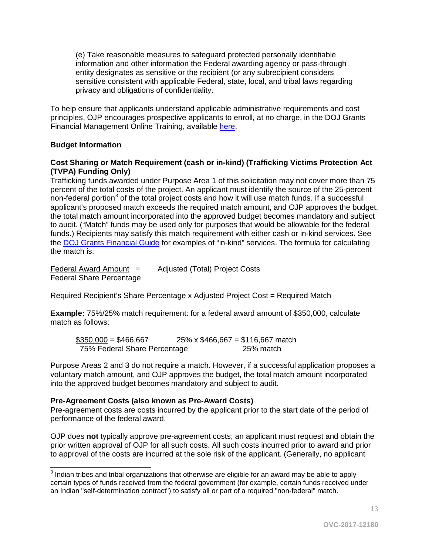(e) Take reasonable measures to safeguard protected personally identifiable information and other information the Federal awarding agency or pass-through entity designates as sensitive or the recipient (or any subrecipient considers sensitive consistent with applicable Federal, state, local, and tribal laws regarding privacy and obligations of confidentiality.

To help ensure that applicants understand applicable administrative requirements and cost principles, OJP encourages prospective applicants to enroll, at no charge, in the DOJ Grants Financial Management Online Training, available [here.](http://ojpfgm.webfirst.com/)

#### <span id="page-12-0"></span>**Budget Information**

#### **Cost Sharing or Match Requirement (cash or in-kind) (Trafficking Victims Protection Act (TVPA) Funding Only)**

Trafficking funds awarded under Purpose Area 1 of this solicitation may not cover more than 75 percent of the total costs of the project. An applicant must identify the source of the 25-percent non-federal portion<sup>[3](#page-12-2)</sup> of the total project costs and how it will use match funds. If a successful applicant's proposed match exceeds the required match amount, and OJP approves the budget, the total match amount incorporated into the approved budget becomes mandatory and subject to audit. ("Match" funds may be used only for purposes that would be allowable for the federal funds.) Recipients may satisfy this match requirement with either cash or in-kind services. See the [DOJ Grants Financial Guide](http://ojp.gov/financialguide/DOJ/PostawardRequirements/chapter3.3b.htm) for examples of "in-kind" services. The formula for calculating the match is:

Federal Award Amount = Adjusted (Total) Project Costs Federal Share Percentage

Required Recipient's Share Percentage x Adjusted Project Cost = Required Match

**Example:** 75%/25% match requirement: for a federal award amount of \$350,000, calculate match as follows:

 $$350,000 = $466,667$  25% x \$466,667 = \$116,667 match 75% Federal Share Percentage 25% match

Purpose Areas 2 and 3 do not require a match. However, if a successful application proposes a voluntary match amount, and OJP approves the budget, the total match amount incorporated into the approved budget becomes mandatory and subject to audit.

#### <span id="page-12-1"></span>**Pre-Agreement Costs (also known as Pre-Award Costs)**

Pre-agreement costs are costs incurred by the applicant prior to the start date of the period of performance of the federal award.

OJP does **not** typically approve pre-agreement costs; an applicant must request and obtain the prior written approval of OJP for all such costs. All such costs incurred prior to award and prior to approval of the costs are incurred at the sole risk of the applicant. (Generally, no applicant

<span id="page-12-2"></span> $\overline{a}$  $3$  Indian tribes and tribal organizations that otherwise are eligible for an award may be able to apply certain types of funds received from the federal government (for example, certain funds received under an Indian "self-determination contract") to satisfy all or part of a required "non-federal" match.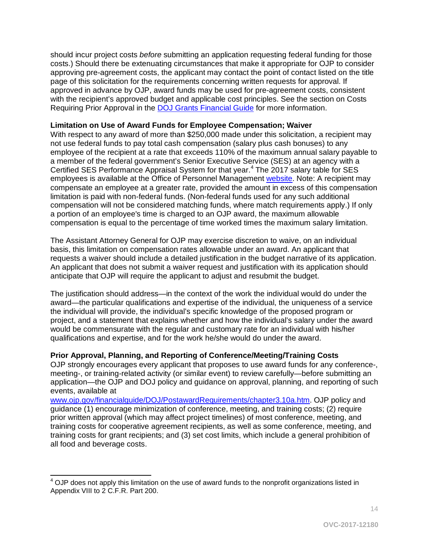should incur project costs *before* submitting an application requesting federal funding for those costs.) Should there be extenuating circumstances that make it appropriate for OJP to consider approving pre-agreement costs, the applicant may contact the point of contact listed on the title page of this solicitation for the requirements concerning written requests for approval. If approved in advance by OJP, award funds may be used for pre-agreement costs, consistent with the recipient's approved budget and applicable cost principles. See the section on Costs Requiring Prior Approval in the [DOJ Grants Financial Guide](http://ojp.gov/financialguide/DOJ/index.htm) for more information.

#### <span id="page-13-0"></span>**Limitation on Use of Award Funds for Employee Compensation; Waiver**

With respect to any award of more than \$250,000 made under this solicitation, a recipient may not use federal funds to pay total cash compensation (salary plus cash bonuses) to any employee of the recipient at a rate that exceeds 110% of the maximum annual salary payable to a member of the federal government's Senior Executive Service (SES) at an agency with a Certified SES Performance Appraisal System for that year.[4](#page-13-2) The 2017 salary table for SES employees is available at the Office of Personnel Management [website.](http://www.opm.gov/policy-data-oversight/pay-leave/salaries-wages/salary-tables/17Tables/exec/html/ES.aspx) Note: A recipient may compensate an employee at a greater rate, provided the amount in excess of this compensation limitation is paid with non-federal funds. (Non-federal funds used for any such additional compensation will not be considered matching funds, where match requirements apply.) If only a portion of an employee's time is charged to an OJP award, the maximum allowable compensation is equal to the percentage of time worked times the maximum salary limitation.

The Assistant Attorney General for OJP may exercise discretion to waive, on an individual basis, this limitation on compensation rates allowable under an award. An applicant that requests a waiver should include a detailed justification in the budget narrative of its application. An applicant that does not submit a waiver request and justification with its application should anticipate that OJP will require the applicant to adjust and resubmit the budget.

The justification should address—in the context of the work the individual would do under the award—the particular qualifications and expertise of the individual, the uniqueness of a service the individual will provide, the individual's specific knowledge of the proposed program or project, and a statement that explains whether and how the individual's salary under the award would be commensurate with the regular and customary rate for an individual with his/her qualifications and expertise, and for the work he/she would do under the award.

#### <span id="page-13-1"></span>**Prior Approval, Planning, and Reporting of Conference/Meeting/Training Costs**

OJP strongly encourages every applicant that proposes to use award funds for any conference-, meeting-, or training-related activity (or similar event) to review carefully—before submitting an application—the OJP and DOJ policy and guidance on approval, planning, and reporting of such events, available at

[www.ojp.gov/financialguide/DOJ/PostawardRequirements/chapter3.10a.htm.](http://www.ojp.gov/financialguide/DOJ/PostawardRequirements/chapter3.10a.htm) OJP policy and guidance (1) encourage minimization of conference, meeting, and training costs; (2) require prior written approval (which may affect project timelines) of most conference, meeting, and training costs for cooperative agreement recipients, as well as some conference, meeting, and training costs for grant recipients; and (3) set cost limits, which include a general prohibition of all food and beverage costs.

 $\overline{\phantom{a}}$ 

<span id="page-13-2"></span> $<sup>4</sup>$  OJP does not apply this limitation on the use of award funds to the nonprofit organizations listed in</sup> Appendix VIII to 2 C.F.R. Part 200.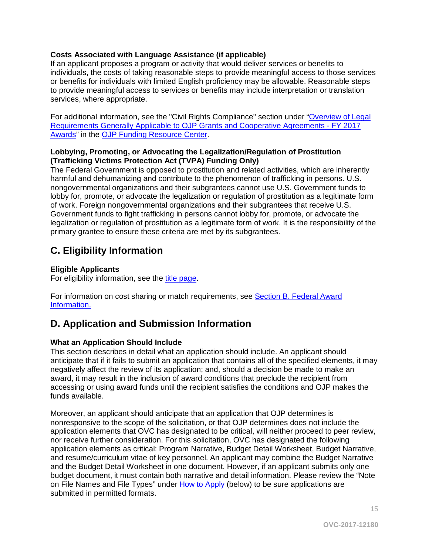## <span id="page-14-1"></span>**Costs Associated with Language Assistance (if applicable)**

If an applicant proposes a program or activity that would deliver services or benefits to individuals, the costs of taking reasonable steps to provide meaningful access to those services or benefits for individuals with limited English proficiency may be allowable. Reasonable steps to provide meaningful access to services or benefits may include interpretation or translation services, where appropriate.

For additional information, see the "Civil Rights Compliance" section under ["Overview of Legal](http://ojp.gov/funding/Explore/SolicitationRequirements/index.htm)  [Requirements Generally Applicable to OJP Grants and Cooperative Agreements - FY 2017](http://ojp.gov/funding/Explore/SolicitationRequirements/index.htm)  [Awards"](http://ojp.gov/funding/Explore/SolicitationRequirements/index.htm) in the [OJP Funding Resource Center.](http://ojp.gov/funding/index.htm)

#### **Lobbying, Promoting, or Advocating the Legalization/Regulation of Prostitution (Trafficking Victims Protection Act (TVPA) Funding Only)**

The Federal Government is opposed to prostitution and related activities, which are inherently harmful and dehumanizing and contribute to the phenomenon of trafficking in persons. U.S. nongovernmental organizations and their subgrantees cannot use U.S. Government funds to lobby for, promote, or advocate the legalization or regulation of prostitution as a legitimate form of work. Foreign nongovernmental organizations and their subgrantees that receive U.S. Government funds to fight trafficking in persons cannot lobby for, promote, or advocate the legalization or regulation of prostitution as a legitimate form of work. It is the responsibility of the primary grantee to ensure these criteria are met by its subgrantees.

# <span id="page-14-2"></span>**C. Eligibility Information**

## **Eligible Applicants**

For eligibility information, see the [title page.](#page-0-0)

For information on cost sharing or match requirements, see Section [B. Federal Award](#page-10-1)  [Information.](#page-10-1)

# <span id="page-14-0"></span>**D. Application and Submission Information**

## <span id="page-14-3"></span>**What an Application Should Include**

This section describes in detail what an application should include. An applicant should anticipate that if it fails to submit an application that contains all of the specified elements, it may negatively affect the review of its application; and, should a decision be made to make an award, it may result in the inclusion of award conditions that preclude the recipient from accessing or using award funds until the recipient satisfies the conditions and OJP makes the funds available.

Moreover, an applicant should anticipate that an application that OJP determines is nonresponsive to the scope of the solicitation, or that OJP determines does not include the application elements that OVC has designated to be critical, will neither proceed to peer review, nor receive further consideration. For this solicitation, OVC has designated the following application elements as critical: Program Narrative, Budget Detail Worksheet, Budget Narrative, and resume/curriculum vitae of key personnel. An applicant may combine the Budget Narrative and the Budget Detail Worksheet in one document. However, if an applicant submits only one budget document, it must contain both narrative and detail information. Please review the "Note on File Names and File Types" under [How to Apply](#page-35-0) (below) to be sure applications are submitted in permitted formats.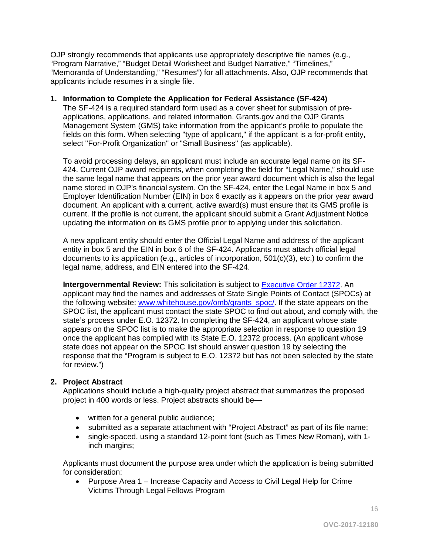OJP strongly recommends that applicants use appropriately descriptive file names (e.g., "Program Narrative," "Budget Detail Worksheet and Budget Narrative," "Timelines," "Memoranda of Understanding," "Resumes") for all attachments. Also, OJP recommends that applicants include resumes in a single file.

#### **1. Information to Complete the Application for Federal Assistance (SF-424)**

The SF-424 is a required standard form used as a cover sheet for submission of preapplications, applications, and related information. Grants.gov and the OJP Grants Management System (GMS) take information from the applicant's profile to populate the fields on this form. When selecting "type of applicant," if the applicant is a for-profit entity, select "For-Profit Organization" or "Small Business" (as applicable).

To avoid processing delays, an applicant must include an accurate legal name on its SF-424. Current OJP award recipients, when completing the field for "Legal Name," should use the same legal name that appears on the prior year award document which is also the legal name stored in OJP's financial system. On the SF-424, enter the Legal Name in box 5 and Employer Identification Number (EIN) in box 6 exactly as it appears on the prior year award document. An applicant with a current, active award(s) must ensure that its GMS profile is current. If the profile is not current, the applicant should submit a Grant Adjustment Notice updating the information on its GMS profile prior to applying under this solicitation.

A new applicant entity should enter the Official Legal Name and address of the applicant entity in box 5 and the EIN in box 6 of the SF-424. Applicants must attach official legal documents to its application (e.g., articles of incorporation, 501(c)(3), etc.) to confirm the legal name, address, and EIN entered into the SF-424.

**Intergovernmental Review:** This solicitation is subject to **Executive Order 12372**. An applicant may find the names and addresses of State Single Points of Contact (SPOCs) at the following website: www.whitehouse.gov/omb/grants spoc/. If the state appears on the SPOC list, the applicant must contact the state SPOC to find out about, and comply with, the state's process under E.O. 12372. In completing the SF-424, an applicant whose state appears on the SPOC list is to make the appropriate selection in response to question 19 once the applicant has complied with its State E.O. 12372 process. (An applicant whose state does not appear on the SPOC list should answer question 19 by selecting the response that the "Program is subject to E.O. 12372 but has not been selected by the state for review.")

#### **2. Project Abstract**

Applications should include a high-quality project abstract that summarizes the proposed project in 400 words or less. Project abstracts should be—

- written for a general public audience;
- submitted as a separate attachment with "Project Abstract" as part of its file name;
- single-spaced, using a standard 12-point font (such as Times New Roman), with 1 inch margins;

Applicants must document the purpose area under which the application is being submitted for consideration:

• Purpose Area 1 – Increase Capacity and Access to Civil Legal Help for Crime Victims Through Legal Fellows Program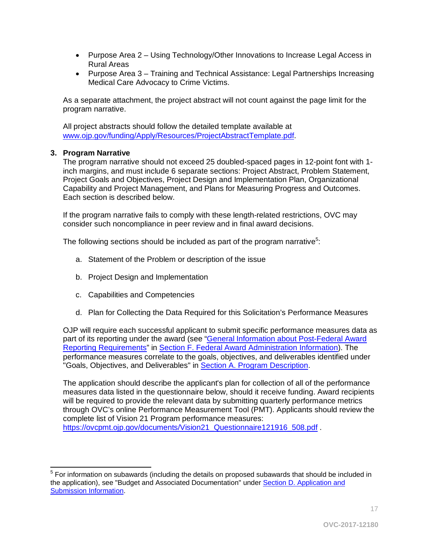- Purpose Area 2 Using Technology/Other Innovations to Increase Legal Access in Rural Areas
- Purpose Area 3 Training and Technical Assistance: Legal Partnerships Increasing Medical Care Advocacy to Crime Victims.

As a separate attachment, the project abstract will not count against the page limit for the program narrative.

All project abstracts should follow the detailed template available at [www.ojp.gov/funding/Apply/Resources/ProjectAbstractTemplate.pdf.](http://ojp.gov/funding/Apply/Resources/ProjectAbstractTemplate.pdf)

## **3. Program Narrative**

The program narrative should not exceed 25 doubled-spaced pages in 12-point font with 1 inch margins, and must include 6 separate sections: Project Abstract, Problem Statement, Project Goals and Objectives, Project Design and Implementation Plan, Organizational Capability and Project Management, and Plans for Measuring Progress and Outcomes. Each section is described below.

If the program narrative fails to comply with these length-related restrictions, OVC may consider such noncompliance in peer review and in final award decisions.

The following sections should be included as part of the program narrative<sup>[5](#page-16-0)</sup>:

- a. Statement of the Problem or description of the issue
- b. Project Design and Implementation
- c. Capabilities and Competencies
- d. Plan for Collecting the Data Required for this Solicitation's Performance Measures

OJP will require each successful applicant to submit specific performance measures data as part of its reporting under the award (see ["General Information about Post-Federal Award](#page-35-0)  [Reporting Requirements"](#page-35-0) in [Section F. Federal Award Administration Information\)](#page-35-0). The performance measures correlate to the goals, objectives, and deliverables identified under "Goals, Objectives, and Deliverables" in **Section A. Program Description**.

The application should describe the applicant's plan for collection of all of the performance measures data listed in the questionnaire below, should it receive funding. Award recipients will be required to provide the relevant data by submitting quarterly performance metrics through OVC's online Performance Measurement Tool (PMT). Applicants should review the complete list of Vision 21 Program performance measures: [https://ovcpmt.ojp.gov/documents/Vision21\\_Questionnaire121916\\_508.pdf](https://ovcpmt.ojp.gov/documents/Vision21_Questionnaire121916_508.pdf) .

<span id="page-16-0"></span> $\overline{a}$  $<sup>5</sup>$  For information on subawards (including the details on proposed subawards that should be included in</sup> the application), see "Budget and Associated Documentation" under [Section D. Application and](#page-35-0)  [Submission Information.](#page-35-0)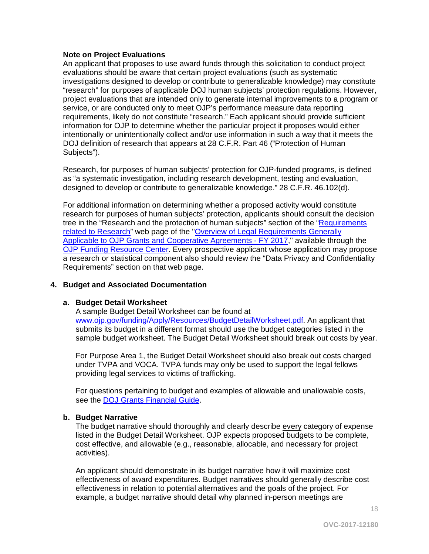#### **Note on Project Evaluations**

An applicant that proposes to use award funds through this solicitation to conduct project evaluations should be aware that certain project evaluations (such as systematic investigations designed to develop or contribute to generalizable knowledge) may constitute "research" for purposes of applicable DOJ human subjects' protection regulations. However, project evaluations that are intended only to generate internal improvements to a program or service, or are conducted only to meet OJP's performance measure data reporting requirements, likely do not constitute "research." Each applicant should provide sufficient information for OJP to determine whether the particular project it proposes would either intentionally or unintentionally collect and/or use information in such a way that it meets the DOJ definition of research that appears at 28 C.F.R. Part 46 ("Protection of Human Subjects").

Research, for purposes of human subjects' protection for OJP-funded programs, is defined as "a systematic investigation, including research development, testing and evaluation, designed to develop or contribute to generalizable knowledge." 28 C.F.R. 46.102(d).

For additional information on determining whether a proposed activity would constitute research for purposes of human subjects' protection, applicants should consult the decision tree in the "Research and the protection of human subjects" section of the ["Requirements](http://ojp.gov/funding/Explore/SolicitationRequirements/EvidenceResearchEvaluationRequirements.htm)  [related to Research"](http://ojp.gov/funding/Explore/SolicitationRequirements/EvidenceResearchEvaluationRequirements.htm) web page of the ["Overview of Legal Requirements Generally](http://ojp.gov/funding/Explore/SolicitationRequirements/index.htm)  [Applicable to OJP Grants and Cooperative Agreements - FY 2017,](http://ojp.gov/funding/Explore/SolicitationRequirements/index.htm)" available through the [OJP Funding Resource Center.](http://ojp.gov/funding/index.htm) Every prospective applicant whose application may propose a research or statistical component also should review the "Data Privacy and Confidentiality Requirements" section on that web page.

#### **4. Budget and Associated Documentation**

#### **a. Budget Detail Worksheet**

A sample Budget Detail Worksheet can be found at [www.ojp.gov/funding/Apply/Resources/BudgetDetailWorksheet.pdf.](http://ojp.gov/funding/Apply/Resources/BudgetDetailWorksheet.pdf) An applicant that submits its budget in a different format should use the budget categories listed in the sample budget worksheet. The Budget Detail Worksheet should break out costs by year.

For Purpose Area 1, the Budget Detail Worksheet should also break out costs charged under TVPA and VOCA. TVPA funds may only be used to support the legal fellows providing legal services to victims of trafficking.

For questions pertaining to budget and examples of allowable and unallowable costs, see the [DOJ Grants Financial Guide.](http://ojp.gov/financialguide/DOJ/index.htm)

#### **b. Budget Narrative**

The budget narrative should thoroughly and clearly describe every category of expense listed in the Budget Detail Worksheet. OJP expects proposed budgets to be complete, cost effective, and allowable (e.g., reasonable, allocable, and necessary for project activities).

An applicant should demonstrate in its budget narrative how it will maximize cost effectiveness of award expenditures. Budget narratives should generally describe cost effectiveness in relation to potential alternatives and the goals of the project. For example, a budget narrative should detail why planned in-person meetings are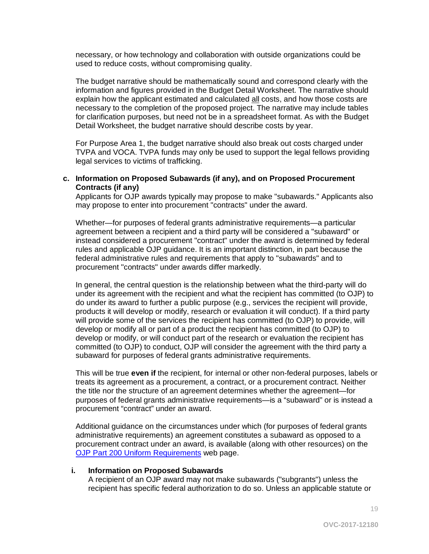necessary, or how technology and collaboration with outside organizations could be used to reduce costs, without compromising quality.

The budget narrative should be mathematically sound and correspond clearly with the information and figures provided in the Budget Detail Worksheet. The narrative should explain how the applicant estimated and calculated all costs, and how those costs are necessary to the completion of the proposed project. The narrative may include tables for clarification purposes, but need not be in a spreadsheet format. As with the Budget Detail Worksheet, the budget narrative should describe costs by year.

For Purpose Area 1, the budget narrative should also break out costs charged under TVPA and VOCA. TVPA funds may only be used to support the legal fellows providing legal services to victims of trafficking.

#### **c. Information on Proposed Subawards (if any), and on Proposed Procurement Contracts (if any)**

Applicants for OJP awards typically may propose to make "subawards." Applicants also may propose to enter into procurement "contracts" under the award.

Whether—for purposes of federal grants administrative requirements—a particular agreement between a recipient and a third party will be considered a "subaward" or instead considered a procurement "contract" under the award is determined by federal rules and applicable OJP guidance. It is an important distinction, in part because the federal administrative rules and requirements that apply to "subawards" and to procurement "contracts" under awards differ markedly.

In general, the central question is the relationship between what the third-party will do under its agreement with the recipient and what the recipient has committed (to OJP) to do under its award to further a public purpose (e.g., services the recipient will provide, products it will develop or modify, research or evaluation it will conduct). If a third party will provide some of the services the recipient has committed (to OJP) to provide, will develop or modify all or part of a product the recipient has committed (to OJP) to develop or modify, or will conduct part of the research or evaluation the recipient has committed (to OJP) to conduct, OJP will consider the agreement with the third party a subaward for purposes of federal grants administrative requirements.

This will be true **even if** the recipient, for internal or other non-federal purposes, labels or treats its agreement as a procurement, a contract, or a procurement contract. Neither the title nor the structure of an agreement determines whether the agreement—for purposes of federal grants administrative requirements—is a "subaward" or is instead a procurement "contract" under an award.

Additional guidance on the circumstances under which (for purposes of federal grants administrative requirements) an agreement constitutes a subaward as opposed to a procurement contract under an award, is available (along with other resources) on the [OJP Part 200 Uniform Requirements](http://ojp.gov/funding/Part200UniformRequirements.htm) web page.

#### **i. Information on Proposed Subawards**

A recipient of an OJP award may not make subawards ("subgrants") unless the recipient has specific federal authorization to do so. Unless an applicable statute or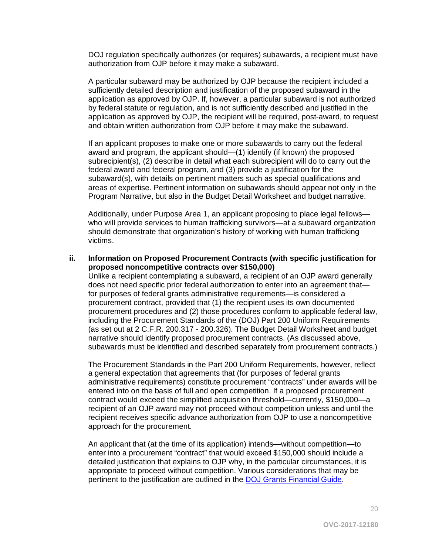DOJ regulation specifically authorizes (or requires) subawards, a recipient must have authorization from OJP before it may make a subaward.

A particular subaward may be authorized by OJP because the recipient included a sufficiently detailed description and justification of the proposed subaward in the application as approved by OJP. If, however, a particular subaward is not authorized by federal statute or regulation, and is not sufficiently described and justified in the application as approved by OJP, the recipient will be required, post-award, to request and obtain written authorization from OJP before it may make the subaward.

If an applicant proposes to make one or more subawards to carry out the federal award and program, the applicant should—(1) identify (if known) the proposed subrecipient(s), (2) describe in detail what each subrecipient will do to carry out the federal award and federal program, and (3) provide a justification for the subaward(s), with details on pertinent matters such as special qualifications and areas of expertise. Pertinent information on subawards should appear not only in the Program Narrative, but also in the Budget Detail Worksheet and budget narrative.

Additionally, under Purpose Area 1, an applicant proposing to place legal fellows who will provide services to human trafficking survivors—at a subaward organization should demonstrate that organization's history of working with human trafficking victims.

#### **ii. Information on Proposed Procurement Contracts (with specific justification for proposed noncompetitive contracts over \$150,000)**

Unlike a recipient contemplating a subaward, a recipient of an OJP award generally does not need specific prior federal authorization to enter into an agreement that for purposes of federal grants administrative requirements—is considered a procurement contract, provided that (1) the recipient uses its own documented procurement procedures and (2) those procedures conform to applicable federal law, including the Procurement Standards of the (DOJ) Part 200 Uniform Requirements (as set out at 2 C.F.R. 200.317 - 200.326). The Budget Detail Worksheet and budget narrative should identify proposed procurement contracts. (As discussed above, subawards must be identified and described separately from procurement contracts.)

The Procurement Standards in the Part 200 Uniform Requirements, however, reflect a general expectation that agreements that (for purposes of federal grants administrative requirements) constitute procurement "contracts" under awards will be entered into on the basis of full and open competition. If a proposed procurement contract would exceed the simplified acquisition threshold—currently, \$150,000—a recipient of an OJP award may not proceed without competition unless and until the recipient receives specific advance authorization from OJP to use a noncompetitive approach for the procurement.

An applicant that (at the time of its application) intends—without competition—to enter into a procurement "contract" that would exceed \$150,000 should include a detailed justification that explains to OJP why, in the particular circumstances, it is appropriate to proceed without competition. Various considerations that may be pertinent to the justification are outlined in the [DOJ Grants Financial Guide.](http://ojp.gov/financialguide/DOJ/index.htm)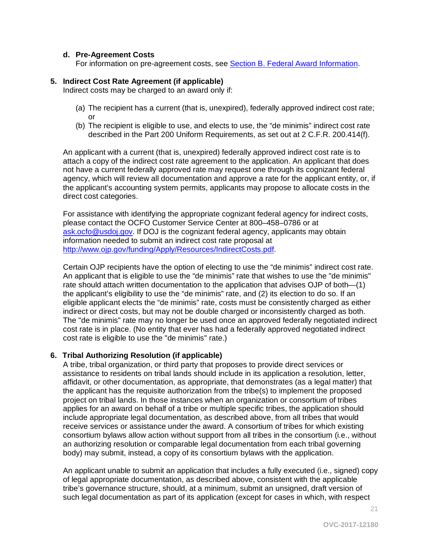#### **d. Pre-Agreement Costs**

For information on pre-agreement costs, see [Section B. Federal Award Information.](#page-10-1)

#### **5. Indirect Cost Rate Agreement (if applicable)**

Indirect costs may be charged to an award only if:

- (a) The recipient has a current (that is, unexpired), federally approved indirect cost rate; or
- (b) The recipient is eligible to use, and elects to use, the "de minimis" indirect cost rate described in the Part 200 Uniform Requirements, as set out at 2 C.F.R. 200.414(f).

An applicant with a current (that is, unexpired) federally approved indirect cost rate is to attach a copy of the indirect cost rate agreement to the application. An applicant that does not have a current federally approved rate may request one through its cognizant federal agency, which will review all documentation and approve a rate for the applicant entity, or, if the applicant's accounting system permits, applicants may propose to allocate costs in the direct cost categories.

For assistance with identifying the appropriate cognizant federal agency for indirect costs, please contact the OCFO Customer Service Center at 800–458–0786 or at [ask.ocfo@usdoj.gov.](mailto:ask.ocfo@usdoj.gov) If DOJ is the cognizant federal agency, applicants may obtain information needed to submit an indirect cost rate proposal at [http://www.ojp.gov/funding/Apply/Resources/IndirectCosts.pdf.](http://www.ojp.gov/funding/Apply/Resources/IndirectCosts.pdf)

Certain OJP recipients have the option of electing to use the "de minimis" indirect cost rate. An applicant that is eligible to use the "de minimis" rate that wishes to use the "de minimis" rate should attach written documentation to the application that advises OJP of both—(1) the applicant's eligibility to use the "de minimis" rate, and (2) its election to do so. If an eligible applicant elects the "de minimis" rate, costs must be consistently charged as either indirect or direct costs, but may not be double charged or inconsistently charged as both. The "de minimis" rate may no longer be used once an approved federally negotiated indirect cost rate is in place. (No entity that ever has had a federally approved negotiated indirect cost rate is eligible to use the "de minimis" rate.)

#### **6. Tribal Authorizing Resolution (if applicable)**

A tribe, tribal organization, or third party that proposes to provide direct services or assistance to residents on tribal lands should include in its application a resolution, letter, affidavit, or other documentation, as appropriate, that demonstrates (as a legal matter) that the applicant has the requisite authorization from the tribe(s) to implement the proposed project on tribal lands. In those instances when an organization or consortium of tribes applies for an award on behalf of a tribe or multiple specific tribes, the application should include appropriate legal documentation, as described above, from all tribes that would receive services or assistance under the award. A consortium of tribes for which existing consortium bylaws allow action without support from all tribes in the consortium (i.e., without an authorizing resolution or comparable legal documentation from each tribal governing body) may submit, instead, a copy of its consortium bylaws with the application.

An applicant unable to submit an application that includes a fully executed (i.e., signed) copy of legal appropriate documentation, as described above, consistent with the applicable tribe's governance structure, should, at a minimum, submit an unsigned, draft version of such legal documentation as part of its application (except for cases in which, with respect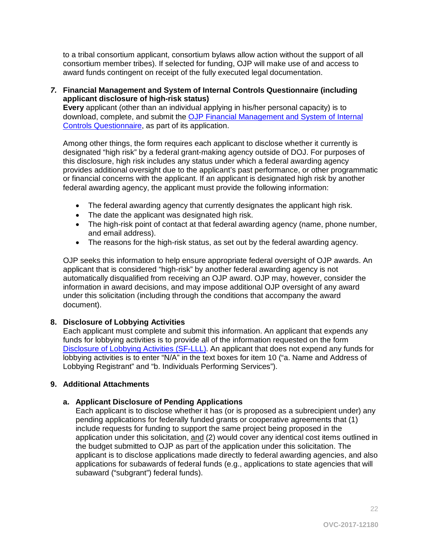to a tribal consortium applicant, consortium bylaws allow action without the support of all consortium member tribes). If selected for funding, OJP will make use of and access to award funds contingent on receipt of the fully executed legal documentation.

#### *7.* **Financial Management and System of Internal Controls Questionnaire (including applicant disclosure of high-risk status)**

**Every** applicant (other than an individual applying in his/her personal capacity) is to download, complete, and submit the OJP Financial Management and System of Internal [Controls Questionnaire,](http://ojp.gov/funding/Apply/Resources/FinancialCapability.pdf) as part of its application.

Among other things, the form requires each applicant to disclose whether it currently is designated "high risk" by a federal grant-making agency outside of DOJ. For purposes of this disclosure, high risk includes any status under which a federal awarding agency provides additional oversight due to the applicant's past performance, or other programmatic or financial concerns with the applicant. If an applicant is designated high risk by another federal awarding agency, the applicant must provide the following information:

- The federal awarding agency that currently designates the applicant high risk.
- The date the applicant was designated high risk.
- The high-risk point of contact at that federal awarding agency (name, phone number, and email address).
- The reasons for the high-risk status, as set out by the federal awarding agency.

OJP seeks this information to help ensure appropriate federal oversight of OJP awards. An applicant that is considered "high-risk" by another federal awarding agency is not automatically disqualified from receiving an OJP award. OJP may, however, consider the information in award decisions, and may impose additional OJP oversight of any award under this solicitation (including through the conditions that accompany the award document).

## **8. Disclosure of Lobbying Activities**

Each applicant must complete and submit this information. An applicant that expends any funds for lobbying activities is to provide all of the information requested on the form [Disclosure of Lobbying Activities \(SF-LLL\).](http://ojp.gov/funding/Apply/Resources/Disclosure.pdf) An applicant that does not expend any funds for lobbying activities is to enter "N/A" in the text boxes for item 10 ("a. Name and Address of Lobbying Registrant" and "b. Individuals Performing Services").

## **9. Additional Attachments**

## **a. Applicant Disclosure of Pending Applications**

Each applicant is to disclose whether it has (or is proposed as a subrecipient under) any pending applications for federally funded grants or cooperative agreements that (1) include requests for funding to support the same project being proposed in the application under this solicitation, and (2) would cover any identical cost items outlined in the budget submitted to OJP as part of the application under this solicitation. The applicant is to disclose applications made directly to federal awarding agencies, and also applications for subawards of federal funds (e.g., applications to state agencies that will subaward ("subgrant") federal funds).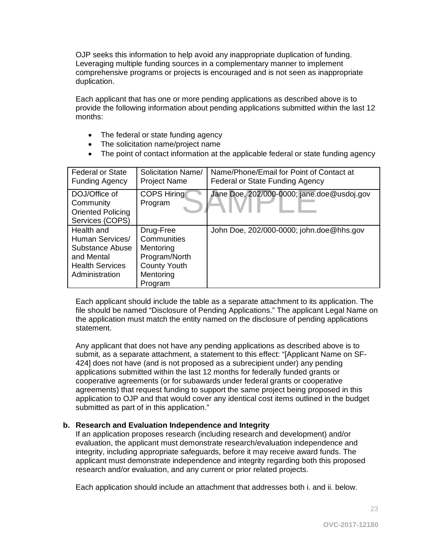OJP seeks this information to help avoid any inappropriate duplication of funding. Leveraging multiple funding sources in a complementary manner to implement comprehensive programs or projects is encouraged and is not seen as inappropriate duplication.

Each applicant that has one or more pending applications as described above is to provide the following information about pending applications submitted within the last 12 months:

- The federal or state funding agency
- The solicitation name/project name
- The point of contact information at the applicable federal or state funding agency

| <b>Federal or State</b><br><b>Funding Agency</b>                                                           | Solicitation Name/<br><b>Project Name</b>                                                             | Name/Phone/Email for Point of Contact at<br>Federal or State Funding Agency |
|------------------------------------------------------------------------------------------------------------|-------------------------------------------------------------------------------------------------------|-----------------------------------------------------------------------------|
| DOJ/Office of<br>Community<br><b>Oriented Policing</b><br>Services (COPS)                                  | <b>COPS Hiring</b><br>Program                                                                         | Jane Doe, 202/000-0000; jane.doe@usdoj.gov                                  |
| Health and<br>Human Services/<br>Substance Abuse<br>and Mental<br><b>Health Services</b><br>Administration | Drug-Free<br>Communities<br>Mentoring<br>Program/North<br><b>County Youth</b><br>Mentoring<br>Program | John Doe, 202/000-0000; john.doe@hhs.gov                                    |

Each applicant should include the table as a separate attachment to its application. The file should be named "Disclosure of Pending Applications." The applicant Legal Name on the application must match the entity named on the disclosure of pending applications statement.

Any applicant that does not have any pending applications as described above is to submit, as a separate attachment, a statement to this effect: "[Applicant Name on SF-424] does not have (and is not proposed as a subrecipient under) any pending applications submitted within the last 12 months for federally funded grants or cooperative agreements (or for subawards under federal grants or cooperative agreements) that request funding to support the same project being proposed in this application to OJP and that would cover any identical cost items outlined in the budget submitted as part of in this application."

#### **b. Research and Evaluation Independence and Integrity**

If an application proposes research (including research and development) and/or evaluation, the applicant must demonstrate research/evaluation independence and integrity, including appropriate safeguards, before it may receive award funds. The applicant must demonstrate independence and integrity regarding both this proposed research and/or evaluation, and any current or prior related projects.

Each application should include an attachment that addresses both i. and ii. below.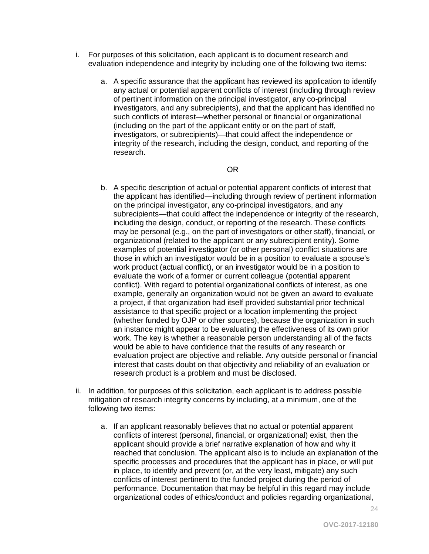- i. For purposes of this solicitation, each applicant is to document research and evaluation independence and integrity by including one of the following two items:
	- a. A specific assurance that the applicant has reviewed its application to identify any actual or potential apparent conflicts of interest (including through review of pertinent information on the principal investigator, any co-principal investigators, and any subrecipients), and that the applicant has identified no such conflicts of interest—whether personal or financial or organizational (including on the part of the applicant entity or on the part of staff, investigators, or subrecipients)—that could affect the independence or integrity of the research, including the design, conduct, and reporting of the research.

#### OR

- b. A specific description of actual or potential apparent conflicts of interest that the applicant has identified—including through review of pertinent information on the principal investigator, any co-principal investigators, and any subrecipients—that could affect the independence or integrity of the research, including the design, conduct, or reporting of the research. These conflicts may be personal (e.g., on the part of investigators or other staff), financial, or organizational (related to the applicant or any subrecipient entity). Some examples of potential investigator (or other personal) conflict situations are those in which an investigator would be in a position to evaluate a spouse's work product (actual conflict), or an investigator would be in a position to evaluate the work of a former or current colleague (potential apparent conflict). With regard to potential organizational conflicts of interest, as one example, generally an organization would not be given an award to evaluate a project, if that organization had itself provided substantial prior technical assistance to that specific project or a location implementing the project (whether funded by OJP or other sources), because the organization in such an instance might appear to be evaluating the effectiveness of its own prior work. The key is whether a reasonable person understanding all of the facts would be able to have confidence that the results of any research or evaluation project are objective and reliable. Any outside personal or financial interest that casts doubt on that objectivity and reliability of an evaluation or research product is a problem and must be disclosed.
- ii. In addition, for purposes of this solicitation, each applicant is to address possible mitigation of research integrity concerns by including, at a minimum, one of the following two items:
	- a. If an applicant reasonably believes that no actual or potential apparent conflicts of interest (personal, financial, or organizational) exist, then the applicant should provide a brief narrative explanation of how and why it reached that conclusion. The applicant also is to include an explanation of the specific processes and procedures that the applicant has in place, or will put in place, to identify and prevent (or, at the very least, mitigate) any such conflicts of interest pertinent to the funded project during the period of performance. Documentation that may be helpful in this regard may include organizational codes of ethics/conduct and policies regarding organizational,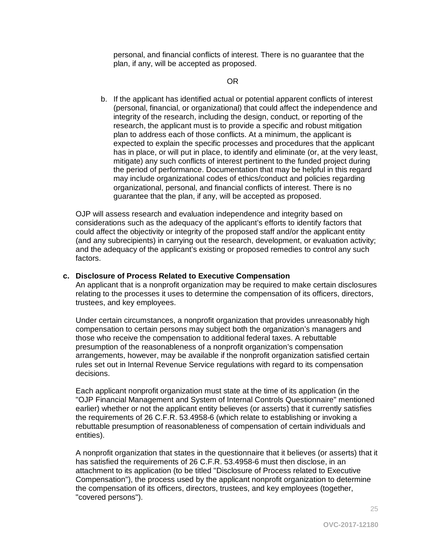personal, and financial conflicts of interest. There is no guarantee that the plan, if any, will be accepted as proposed.

#### OR

b. If the applicant has identified actual or potential apparent conflicts of interest (personal, financial, or organizational) that could affect the independence and integrity of the research, including the design, conduct, or reporting of the research, the applicant must is to provide a specific and robust mitigation plan to address each of those conflicts. At a minimum, the applicant is expected to explain the specific processes and procedures that the applicant has in place, or will put in place, to identify and eliminate (or, at the very least, mitigate) any such conflicts of interest pertinent to the funded project during the period of performance. Documentation that may be helpful in this regard may include organizational codes of ethics/conduct and policies regarding organizational, personal, and financial conflicts of interest. There is no guarantee that the plan, if any, will be accepted as proposed.

OJP will assess research and evaluation independence and integrity based on considerations such as the adequacy of the applicant's efforts to identify factors that could affect the objectivity or integrity of the proposed staff and/or the applicant entity (and any subrecipients) in carrying out the research, development, or evaluation activity; and the adequacy of the applicant's existing or proposed remedies to control any such factors.

#### **c. Disclosure of Process Related to Executive Compensation**

An applicant that is a nonprofit organization may be required to make certain disclosures relating to the processes it uses to determine the compensation of its officers, directors, trustees, and key employees.

Under certain circumstances, a nonprofit organization that provides unreasonably high compensation to certain persons may subject both the organization's managers and those who receive the compensation to additional federal taxes. A rebuttable presumption of the reasonableness of a nonprofit organization's compensation arrangements, however, may be available if the nonprofit organization satisfied certain rules set out in Internal Revenue Service regulations with regard to its compensation decisions.

Each applicant nonprofit organization must state at the time of its application (in the "OJP Financial Management and System of Internal Controls Questionnaire" mentioned earlier) whether or not the applicant entity believes (or asserts) that it currently satisfies the requirements of 26 C.F.R. 53.4958-6 (which relate to establishing or invoking a rebuttable presumption of reasonableness of compensation of certain individuals and entities).

A nonprofit organization that states in the questionnaire that it believes (or asserts) that it has satisfied the requirements of 26 C.F.R. 53.4958-6 must then disclose, in an attachment to its application (to be titled "Disclosure of Process related to Executive Compensation"), the process used by the applicant nonprofit organization to determine the compensation of its officers, directors, trustees, and key employees (together, "covered persons").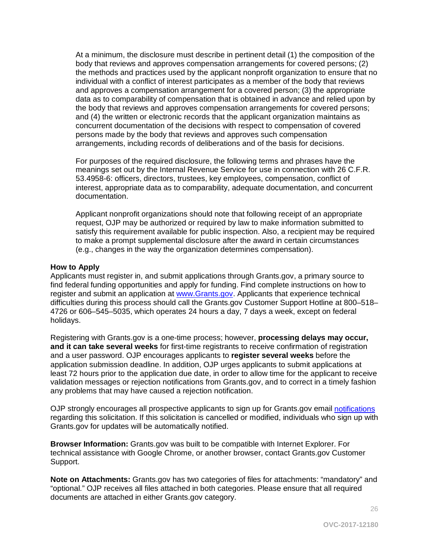At a minimum, the disclosure must describe in pertinent detail (1) the composition of the body that reviews and approves compensation arrangements for covered persons; (2) the methods and practices used by the applicant nonprofit organization to ensure that no individual with a conflict of interest participates as a member of the body that reviews and approves a compensation arrangement for a covered person; (3) the appropriate data as to comparability of compensation that is obtained in advance and relied upon by the body that reviews and approves compensation arrangements for covered persons; and (4) the written or electronic records that the applicant organization maintains as concurrent documentation of the decisions with respect to compensation of covered persons made by the body that reviews and approves such compensation arrangements, including records of deliberations and of the basis for decisions.

For purposes of the required disclosure, the following terms and phrases have the meanings set out by the Internal Revenue Service for use in connection with 26 C.F.R. 53.4958-6: officers, directors, trustees, key employees, compensation, conflict of interest, appropriate data as to comparability, adequate documentation, and concurrent documentation.

Applicant nonprofit organizations should note that following receipt of an appropriate request, OJP may be authorized or required by law to make information submitted to satisfy this requirement available for public inspection. Also, a recipient may be required to make a prompt supplemental disclosure after the award in certain circumstances (e.g., changes in the way the organization determines compensation).

#### <span id="page-25-0"></span>**How to Apply**

Applicants must register in, and submit applications through Grants.gov, a primary source to find federal funding opportunities and apply for funding. Find complete instructions on how to register and submit an application at [www.Grants.gov.](http://www.grants.gov/) Applicants that experience technical difficulties during this process should call the Grants.gov Customer Support Hotline at 800–518– 4726 or 606–545–5035, which operates 24 hours a day, 7 days a week, except on federal holidays.

Registering with Grants.gov is a one-time process; however, **processing delays may occur, and it can take several weeks** for first-time registrants to receive confirmation of registration and a user password. OJP encourages applicants to **register several weeks** before the application submission deadline. In addition, OJP urges applicants to submit applications at least 72 hours prior to the application due date, in order to allow time for the applicant to receive validation messages or rejection notifications from Grants.gov, and to correct in a timely fashion any problems that may have caused a rejection notification.

OJP strongly encourages all prospective applicants to sign up for Grants.gov email [notifications](http://www.grants.gov/web/grants/manage-subscriptions.html) regarding this solicitation. If this solicitation is cancelled or modified, individuals who sign up with Grants.gov for updates will be automatically notified.

**Browser Information:** Grants.gov was built to be compatible with Internet Explorer. For technical assistance with Google Chrome, or another browser, contact Grants.gov Customer Support.

**Note on Attachments:** Grants.gov has two categories of files for attachments: "mandatory" and "optional." OJP receives all files attached in both categories. Please ensure that all required documents are attached in either Grants.gov category.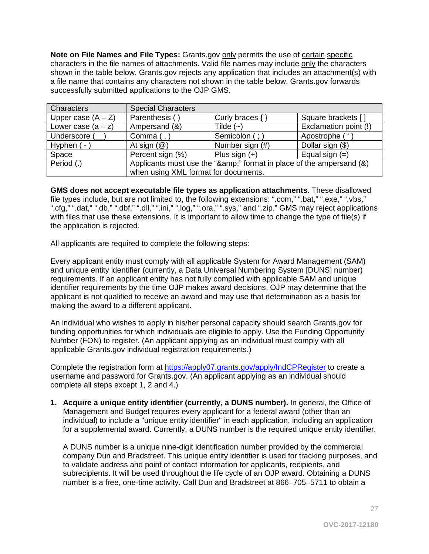**Note on File Names and File Types:** Grants.gov only permits the use of certain specific characters in the file names of attachments. Valid file names may include only the characters shown in the table below. Grants.gov rejects any application that includes an attachment(s) with a file name that contains any characters not shown in the table below. Grants.gov forwards successfully submitted applications to the OJP GMS.

| Characters           | <b>Special Characters</b>                                        |                     |                       |  |
|----------------------|------------------------------------------------------------------|---------------------|-----------------------|--|
| Upper case $(A - Z)$ | Parenthesis (                                                    | Curly braces $\{\}$ | Square brackets []    |  |
| Lower case $(a - z)$ | Ampersand (&)                                                    | Tilde $(-)$         | Exclamation point (!) |  |
| Underscore (         | Comma $(,)$                                                      | Semicolon (; )      | Apostrophe (          |  |
| Hyphen (-            | At sign $(\mathcal{Q})$                                          | Number sign (#)     | Dollar sign (\$)      |  |
| Space                | Percent sign (%)                                                 | Plus sign $(+)$     | Equal sign $(=)$      |  |
| Period (.)           | Applicants must use the "&" format in place of the ampersand (&) |                     |                       |  |
|                      | when using XML format for documents.                             |                     |                       |  |

**GMS does not accept executable file types as application attachments**. These disallowed file types include, but are not limited to, the following extensions: ".com," ".bat," ".exe," ".vbs," ".cfg," ".dat," ".db," ".dbf," ".dll," ".ini," ".log," ".ora," ".sys," and ".zip." GMS may reject applications with files that use these extensions. It is important to allow time to change the type of file(s) if the application is rejected.

All applicants are required to complete the following steps:

Every applicant entity must comply with all applicable System for Award Management (SAM) and unique entity identifier (currently, a Data Universal Numbering System [DUNS] number) requirements. If an applicant entity has not fully complied with applicable SAM and unique identifier requirements by the time OJP makes award decisions, OJP may determine that the applicant is not qualified to receive an award and may use that determination as a basis for making the award to a different applicant.

An individual who wishes to apply in his/her personal capacity should search Grants.gov for funding opportunities for which individuals are eligible to apply. Use the Funding Opportunity Number (FON) to register. (An applicant applying as an individual must comply with all applicable Grants.gov individual registration requirements.)

Complete the registration form at<https://apply07.grants.gov/apply/IndCPRegister> to create a username and password for Grants.gov. (An applicant applying as an individual should complete all steps except 1, 2 and 4.)

**1. Acquire a unique entity identifier (currently, a DUNS number).** In general, the Office of Management and Budget requires every applicant for a federal award (other than an individual) to include a "unique entity identifier" in each application, including an application for a supplemental award. Currently, a DUNS number is the required unique entity identifier.

A DUNS number is a unique nine-digit identification number provided by the commercial company Dun and Bradstreet. This unique entity identifier is used for tracking purposes, and to validate address and point of contact information for applicants, recipients, and subrecipients. It will be used throughout the life cycle of an OJP award. Obtaining a DUNS number is a free, one-time activity. Call Dun and Bradstreet at 866–705–5711 to obtain a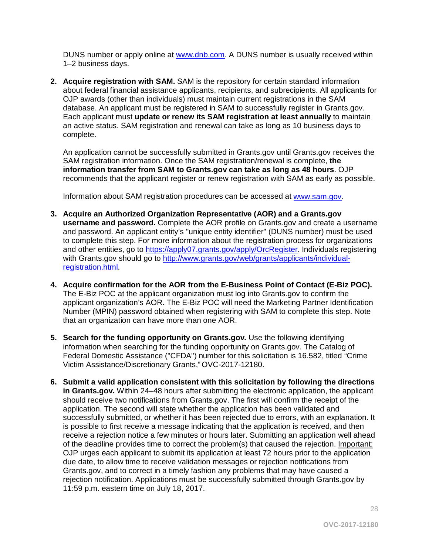DUNS number or apply online at [www.dnb.com.](http://www.dnb.com/) A DUNS number is usually received within 1–2 business days.

**2. Acquire registration with SAM.** SAM is the repository for certain standard information about federal financial assistance applicants, recipients, and subrecipients. All applicants for OJP awards (other than individuals) must maintain current registrations in the SAM database. An applicant must be registered in SAM to successfully register in Grants.gov. Each applicant must **update or renew its SAM registration at least annually** to maintain an active status. SAM registration and renewal can take as long as 10 business days to complete.

An application cannot be successfully submitted in Grants.gov until Grants.gov receives the SAM registration information. Once the SAM registration/renewal is complete, **the information transfer from SAM to Grants.gov can take as long as 48 hours**. OJP recommends that the applicant register or renew registration with SAM as early as possible.

Information about SAM registration procedures can be accessed at [www.sam.gov.](https://www.sam.gov/portal/SAM/#1)

- **3. Acquire an Authorized Organization Representative (AOR) and a Grants.gov username and password.** Complete the AOR profile on Grants.gov and create a username and password. An applicant entity's "unique entity identifier" (DUNS number) must be used to complete this step. For more information about the registration process for organizations and other entities, go to [https://apply07.grants.gov/apply/OrcRegister.](https://apply07.grants.gov/apply/OrcRegister) Individuals registering with Grants.gov should go to [http://www.grants.gov/web/grants/applicants/individual](http://www.grants.gov/web/grants/applicants/individual-registration.html)[registration.html.](http://www.grants.gov/web/grants/applicants/individual-registration.html)
- **4. Acquire confirmation for the AOR from the E-Business Point of Contact (E-Biz POC).** The E-Biz POC at the applicant organization must log into Grants.gov to confirm the applicant organization's AOR. The E-Biz POC will need the Marketing Partner Identification Number (MPIN) password obtained when registering with SAM to complete this step. Note that an organization can have more than one AOR.
- **5. Search for the funding opportunity on Grants.gov***.* Use the following identifying information when searching for the funding opportunity on Grants.gov. The Catalog of Federal Domestic Assistance ("CFDA") number for this solicitation is 16.582, titled "Crime Victim Assistance/Discretionary Grants," OVC-2017-12180.
- **6. Submit a valid application consistent with this solicitation by following the directions in Grants.gov.** Within 24–48 hours after submitting the electronic application, the applicant should receive two notifications from Grants.gov. The first will confirm the receipt of the application. The second will state whether the application has been validated and successfully submitted, or whether it has been rejected due to errors, with an explanation. It is possible to first receive a message indicating that the application is received, and then receive a rejection notice a few minutes or hours later. Submitting an application well ahead of the deadline provides time to correct the problem(s) that caused the rejection. Important: OJP urges each applicant to submit its application at least 72 hours prior to the application due date, to allow time to receive validation messages or rejection notifications from Grants.gov, and to correct in a timely fashion any problems that may have caused a rejection notification. Applications must be successfully submitted through Grants.gov by 11:59 p.m. eastern time on July 18, 2017.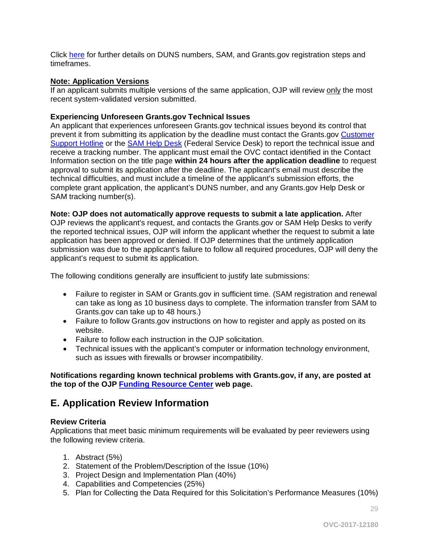Click [here](http://www.grants.gov/web/grants/applicants/organization-registration.html) for further details on DUNS numbers, SAM, and Grants.gov registration steps and timeframes.

#### **Note: Application Versions**

If an applicant submits multiple versions of the same application, OJP will review only the most recent system-validated version submitted.

#### **Experiencing Unforeseen Grants.gov Technical Issues**

An applicant that experiences unforeseen Grants.gov technical issues beyond its control that prevent it from submitting its application by the deadline must contact the Grants.gov [Customer](http://www.grants.gov/web/grants/support.html)  [Support Hotline](http://www.grants.gov/web/grants/support.html) or the [SAM Help Desk](https://www.fsd.gov/fsd-gov/home.do) (Federal Service Desk) to report the technical issue and receive a tracking number. The applicant must email the OVC contact identified in the Contact Information section on the title page **within 24 hours after the application deadline** to request approval to submit its application after the deadline. The applicant's email must describe the technical difficulties, and must include a timeline of the applicant's submission efforts, the complete grant application, the applicant's DUNS number, and any Grants.gov Help Desk or SAM tracking number(s).

**Note: OJP does not automatically approve requests to submit a late application.** After OJP reviews the applicant's request, and contacts the Grants.gov or SAM Help Desks to verify the reported technical issues, OJP will inform the applicant whether the request to submit a late application has been approved or denied. If OJP determines that the untimely application submission was due to the applicant's failure to follow all required procedures, OJP will deny the applicant's request to submit its application.

The following conditions generally are insufficient to justify late submissions:

- Failure to register in SAM or Grants.gov in sufficient time. (SAM registration and renewal can take as long as 10 business days to complete. The information transfer from SAM to Grants.gov can take up to 48 hours.)
- Failure to follow Grants.gov instructions on how to register and apply as posted on its website.
- Failure to follow each instruction in the OJP solicitation.
- Technical issues with the applicant's computer or information technology environment, such as issues with firewalls or browser incompatibility.

#### **Notifications regarding known technical problems with Grants.gov, if any, are posted at the top of the OJP [Funding Resource Center](http://ojp.gov/funding/index.htm) web page.**

## <span id="page-28-0"></span>**E. Application Review Information**

#### <span id="page-28-1"></span>**Review Criteria**

Applications that meet basic minimum requirements will be evaluated by peer reviewers using the following review criteria.

- 1. Abstract (5%)
- 2. Statement of the Problem/Description of the Issue (10%)
- 3. Project Design and Implementation Plan (40%)
- 4. Capabilities and Competencies (25%)
- 5. Plan for Collecting the Data Required for this Solicitation's Performance Measures (10%)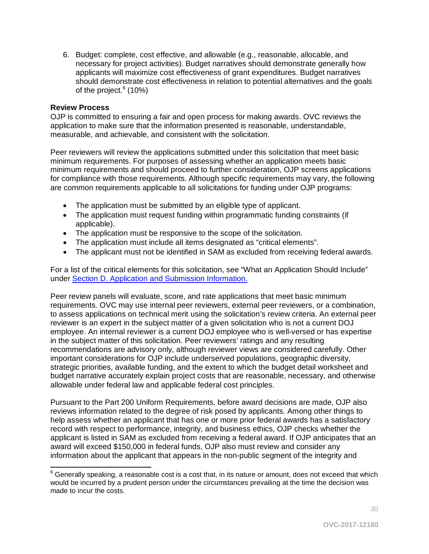6. Budget: complete, cost effective, and allowable (e.g., reasonable, allocable, and necessary for project activities). Budget narratives should demonstrate generally how applicants will maximize cost effectiveness of grant expenditures. Budget narratives should demonstrate cost effectiveness in relation to potential alternatives and the goals of the project. $6(10%)$  $6(10%)$ 

#### <span id="page-29-0"></span>**Review Process**

OJP is committed to ensuring a fair and open process for making awards. OVC reviews the application to make sure that the information presented is reasonable, understandable, measurable, and achievable, and consistent with the solicitation.

Peer reviewers will review the applications submitted under this solicitation that meet basic minimum requirements. For purposes of assessing whether an application meets basic minimum requirements and should proceed to further consideration, OJP screens applications for compliance with those requirements. Although specific requirements may vary, the following are common requirements applicable to all solicitations for funding under OJP programs:

- The application must be submitted by an eligible type of applicant.
- The application must request funding within programmatic funding constraints (if applicable).
- The application must be responsive to the scope of the solicitation.
- The application must include all items designated as "critical elements".
- The applicant must not be identified in SAM as excluded from receiving federal awards.

For a list of the critical elements for this solicitation, see "What an Application Should Include" under [Section D. Application and Submission Information.](#page-35-0)

Peer review panels will evaluate, score, and rate applications that meet basic minimum requirements. OVC may use internal peer reviewers, external peer reviewers, or a combination, to assess applications on technical merit using the solicitation's review criteria. An external peer reviewer is an expert in the subject matter of a given solicitation who is not a current DOJ employee. An internal reviewer is a current DOJ employee who is well-versed or has expertise in the subject matter of this solicitation. Peer reviewers' ratings and any resulting recommendations are advisory only, although reviewer views are considered carefully. Other important considerations for OJP include underserved populations, geographic diversity, strategic priorities, available funding, and the extent to which the budget detail worksheet and budget narrative accurately explain project costs that are reasonable, necessary, and otherwise allowable under federal law and applicable federal cost principles.

Pursuant to the Part 200 Uniform Requirements, before award decisions are made, OJP also reviews information related to the degree of risk posed by applicants. Among other things to help assess whether an applicant that has one or more prior federal awards has a satisfactory record with respect to performance, integrity, and business ethics, OJP checks whether the applicant is listed in SAM as excluded from receiving a federal award. If OJP anticipates that an award will exceed \$150,000 in federal funds, OJP also must review and consider any information about the applicant that appears in the non-public segment of the integrity and

<span id="page-29-1"></span> $\overline{a}$  $6$  Generally speaking, a reasonable cost is a cost that, in its nature or amount, does not exceed that which would be incurred by a prudent person under the circumstances prevailing at the time the decision was made to incur the costs.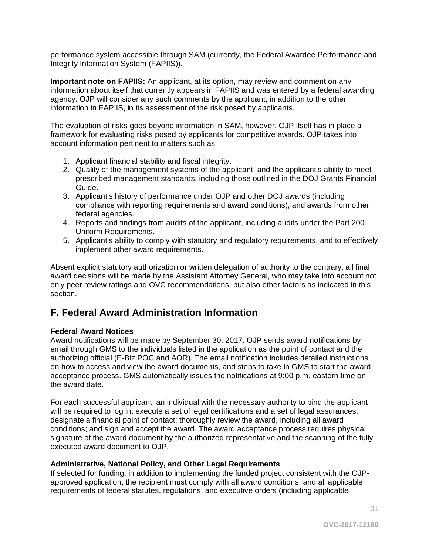performance system accessible through SAM (currently, the Federal Awardee Performance and Integrity Information System (FAPIIS)).

**Important note on FAPIIS:** An applicant, at its option, may review and comment on any information about itself that currently appears in FAPIIS and was entered by a federal awarding agency. OJP will consider any such comments by the applicant, in addition to the other information in FAPIIS, in its assessment of the risk posed by applicants.

The evaluation of risks goes beyond information in SAM, however. OJP itself has in place a framework for evaluating risks posed by applicants for competitive awards. OJP takes into account information pertinent to matters such as—

- 1. Applicant financial stability and fiscal integrity.
- 2. Quality of the management systems of the applicant, and the applicant's ability to meet prescribed management standards, including those outlined in the DOJ Grants Financial Guide.
- 3. Applicant's history of performance under OJP and other DOJ awards (including compliance with reporting requirements and award conditions), and awards from other federal agencies.
- 4. Reports and findings from audits of the applicant, including audits under the Part 200 Uniform Requirements.
- 5. Applicant's ability to comply with statutory and regulatory requirements, and to effectively implement other award requirements.

Absent explicit statutory authorization or written delegation of authority to the contrary, all final award decisions will be made by the Assistant Attorney General, who may take into account not only peer review ratings and OVC recommendations, but also other factors as indicated in this section.

# <span id="page-30-0"></span>**F. Federal Award Administration Information**

#### <span id="page-30-1"></span>**Federal Award Notices**

Award notifications will be made by September 30, 2017. OJP sends award notifications by email through GMS to the individuals listed in the application as the point of contact and the authorizing official (E-Biz POC and AOR). The email notification includes detailed instructions on how to access and view the award documents, and steps to take in GMS to start the award acceptance process. GMS automatically issues the notifications at 9:00 p.m. eastern time on the award date.

For each successful applicant, an individual with the necessary authority to bind the applicant will be required to log in; execute a set of legal certifications and a set of legal assurances; designate a financial point of contact; thoroughly review the award, including all award conditions; and sign and accept the award. The award acceptance process requires physical signature of the award document by the authorized representative and the scanning of the fully executed award document to OJP.

#### <span id="page-30-2"></span>**Administrative, National Policy, and Other Legal Requirements**

If selected for funding, in addition to implementing the funded project consistent with the OJPapproved application, the recipient must comply with all award conditions, and all applicable requirements of federal statutes, regulations, and executive orders (including applicable

31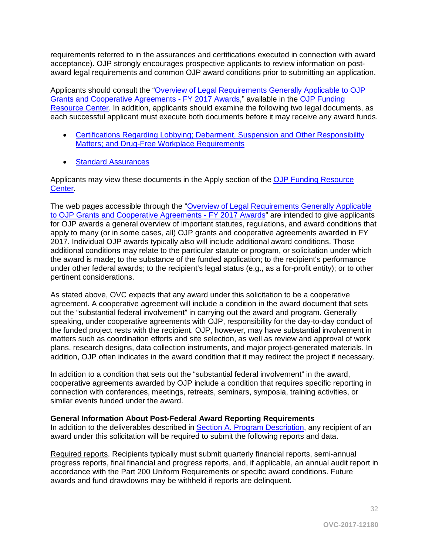requirements referred to in the assurances and certifications executed in connection with award acceptance). OJP strongly encourages prospective applicants to review information on postaward legal requirements and common OJP award conditions prior to submitting an application.

Applicants should consult the ["Overview of Legal Requirements Generally Applicable to OJP](http://ojp.gov/funding/Explore/SolicitationRequirements/index.htm)  [Grants and Cooperative Agreements - FY 2017 Awards,](http://ojp.gov/funding/Explore/SolicitationRequirements/index.htm)" available in the [OJP Funding](http://ojp.gov/funding/index.htm)  [Resource Center.](http://ojp.gov/funding/index.htm) In addition, applicants should examine the following two legal documents, as each successful applicant must execute both documents before it may receive any award funds.

- [Certifications Regarding Lobbying; Debarment, Suspension and Other Responsibility](http://ojp.gov/funding/Apply/Resources/Certifications.pdf)  [Matters; and Drug-Free Workplace Requirements](http://ojp.gov/funding/Apply/Resources/Certifications.pdf)
- [Standard Assurances](http://ojp.gov/funding/Apply/Resources/StandardAssurances.pdf)

Applicants may view these documents in the Apply section of the OJP Funding Resource [Center.](http://ojp.gov/funding/index.htm)

The web pages accessible through the ["Overview of Legal Requirements Generally Applicable](http://ojp.gov/funding/Explore/SolicitationRequirements/index.htm)  [to OJP Grants and Cooperative Agreements - FY 2017 Awards"](http://ojp.gov/funding/Explore/SolicitationRequirements/index.htm) are intended to give applicants for OJP awards a general overview of important statutes, regulations, and award conditions that apply to many (or in some cases, all) OJP grants and cooperative agreements awarded in FY 2017. Individual OJP awards typically also will include additional award conditions. Those additional conditions may relate to the particular statute or program, or solicitation under which the award is made; to the substance of the funded application; to the recipient's performance under other federal awards; to the recipient's legal status (e.g., as a for-profit entity); or to other pertinent considerations.

As stated above, OVC expects that any award under this solicitation to be a cooperative agreement. A cooperative agreement will include a condition in the award document that sets out the "substantial federal involvement" in carrying out the award and program. Generally speaking, under cooperative agreements with OJP, responsibility for the day-to-day conduct of the funded project rests with the recipient. OJP, however, may have substantial involvement in matters such as coordination efforts and site selection, as well as review and approval of work plans, research designs, data collection instruments, and major project-generated materials. In addition, OJP often indicates in the award condition that it may redirect the project if necessary.

In addition to a condition that sets out the "substantial federal involvement" in the award, cooperative agreements awarded by OJP include a condition that requires specific reporting in connection with conferences, meetings, retreats, seminars, symposia, training activities, or similar events funded under the award.

#### <span id="page-31-0"></span>**General Information About Post-Federal Award Reporting Requirements**

In addition to the deliverables described in [Section A. Program Description,](#page-3-0) any recipient of an award under this solicitation will be required to submit the following reports and data.

Required reports. Recipients typically must submit quarterly financial reports, semi-annual progress reports, final financial and progress reports, and, if applicable, an annual audit report in accordance with the Part 200 Uniform Requirements or specific award conditions. Future awards and fund drawdowns may be withheld if reports are delinquent.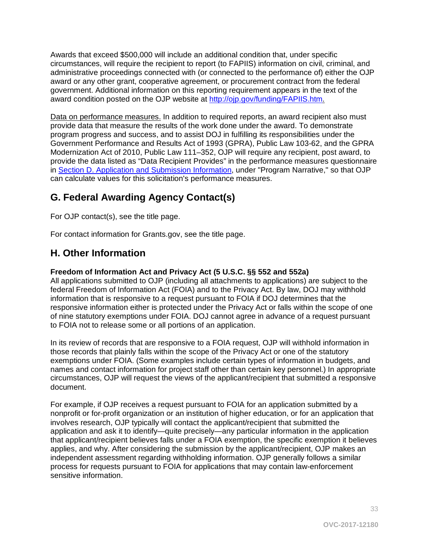Awards that exceed \$500,000 will include an additional condition that, under specific circumstances, will require the recipient to report (to FAPIIS) information on civil, criminal, and administrative proceedings connected with (or connected to the performance of) either the OJP award or any other grant, cooperative agreement, or procurement contract from the federal government. Additional information on this reporting requirement appears in the text of the award condition posted on the OJP website at [http://ojp.gov/funding/FAPIIS.htm.](http://ojp.gov/funding/FAPIIS.htm)

Data on performance measures. In addition to required reports, an award recipient also must provide data that measure the results of the work done under the award. To demonstrate program progress and success, and to assist DOJ in fulfilling its responsibilities under the Government Performance and Results Act of 1993 (GPRA), Public Law 103-62, and the GPRA Modernization Act of 2010, Public Law 111–352, OJP will require any recipient, post award, to provide the data listed as "Data Recipient Provides" in the performance measures questionnaire in [Section D. Application and Submission Information,](#page-35-0) under "Program Narrative," so that OJP can calculate values for this solicitation's performance measures.

# <span id="page-32-0"></span>**G. Federal Awarding Agency Contact(s)**

For OJP contact(s), see the title page.

For contact information for Grants.gov, see the title page.

# <span id="page-32-1"></span>**H. Other Information**

## <span id="page-32-2"></span>**Freedom of Information Act and Privacy Act (5 U.S.C. §§ 552 and 552a)**

All applications submitted to OJP (including all attachments to applications) are subject to the federal Freedom of Information Act (FOIA) and to the Privacy Act. By law, DOJ may withhold information that is responsive to a request pursuant to FOIA if DOJ determines that the responsive information either is protected under the Privacy Act or falls within the scope of one of nine statutory exemptions under FOIA. DOJ cannot agree in advance of a request pursuant to FOIA not to release some or all portions of an application.

In its review of records that are responsive to a FOIA request, OJP will withhold information in those records that plainly falls within the scope of the Privacy Act or one of the statutory exemptions under FOIA. (Some examples include certain types of information in budgets, and names and contact information for project staff other than certain key personnel.) In appropriate circumstances, OJP will request the views of the applicant/recipient that submitted a responsive document.

For example, if OJP receives a request pursuant to FOIA for an application submitted by a nonprofit or for-profit organization or an institution of higher education, or for an application that involves research, OJP typically will contact the applicant/recipient that submitted the application and ask it to identify—quite precisely—any particular information in the application that applicant/recipient believes falls under a FOIA exemption, the specific exemption it believes applies, and why. After considering the submission by the applicant/recipient, OJP makes an independent assessment regarding withholding information. OJP generally follows a similar process for requests pursuant to FOIA for applications that may contain law-enforcement sensitive information.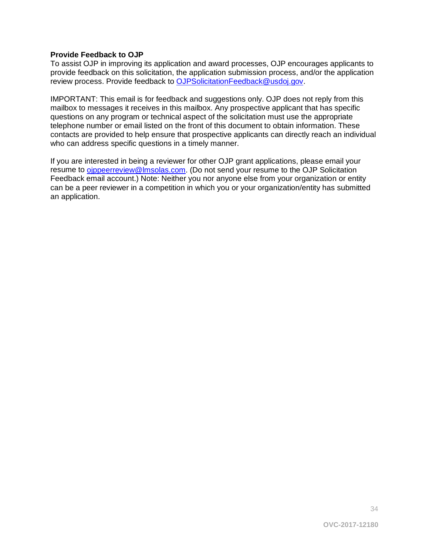#### <span id="page-33-0"></span>**Provide Feedback to OJP**

To assist OJP in improving its application and award processes, OJP encourages applicants to provide feedback on this solicitation, the application submission process, and/or the application review process. Provide feedback to [OJPSolicitationFeedback@usdoj.gov.](mailto:OJPSolicitationFeedback@usdoj.gov)

IMPORTANT: This email is for feedback and suggestions only. OJP does not reply from this mailbox to messages it receives in this mailbox. Any prospective applicant that has specific questions on any program or technical aspect of the solicitation must use the appropriate telephone number or email listed on the front of this document to obtain information. These contacts are provided to help ensure that prospective applicants can directly reach an individual who can address specific questions in a timely manner.

If you are interested in being a reviewer for other OJP grant applications, please email your resume to [ojppeerreview@lmsolas.com.](mailto:ojppeerreview@lmsolas.com) (Do not send your resume to the OJP Solicitation Feedback email account.) Note: Neither you nor anyone else from your organization or entity can be a peer reviewer in a competition in which you or your organization/entity has submitted an application.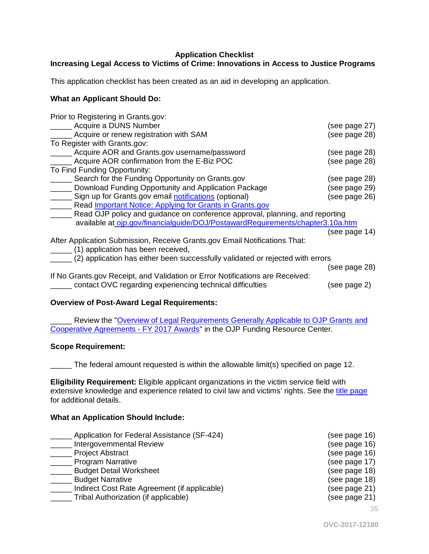#### **Application Checklist**

## <span id="page-34-0"></span>**Increasing Legal Access to Victims of Crime: Innovations in Access to Justice Programs**

This application checklist has been created as an aid in developing an application.

#### **What an Applicant Should Do:**

| Prior to Registering in Grants.gov:                                            |               |
|--------------------------------------------------------------------------------|---------------|
| Acquire a DUNS Number                                                          | (see page 27) |
| Acquire or renew registration with SAM                                         | (see page 28) |
| To Register with Grants.gov:                                                   |               |
| Acquire AOR and Grants.gov username/password                                   | (see page 28) |
| Acquire AOR confirmation from the E-Biz POC                                    | (see page 28) |
| To Find Funding Opportunity:                                                   |               |
| Search for the Funding Opportunity on Grants.gov                               | (see page 28) |
| Download Funding Opportunity and Application Package                           | (see page 29) |
| Sign up for Grants.gov email notifications (optional)                          | (see page 26) |
| Read <i>Important Notice: Applying for Grants in Grants.gov</i>                |               |
| Read OJP policy and guidance on conference approval, planning, and reporting   |               |
| available at ojp.gov/financialguide/DOJ/PostawardRequirements/chapter3.10a.htm |               |
|                                                                                | (see page 14) |
| After Application Submission, Receive Grants.gov Email Notifications That:     |               |
| (1) application has been received,                                             |               |
| (2) application has either been successfully validated or rejected with errors |               |
|                                                                                | (see page 28) |
| If No Grants.gov Receipt, and Validation or Error Notifications are Received:  |               |
| contact OVC regarding experiencing technical difficulties                      | (see page 2)  |

#### **Overview of Post-Award Legal Requirements:**

Review the "Overview of Legal Requirements Generally Applicable to OJP Grants and [Cooperative Agreements - FY 2017 Awards"](http://ojp.gov/funding/Explore/SolicitationRequirements/index.htm) in the OJP Funding Resource Center.

#### **Scope Requirement:**

\_\_\_\_\_ The federal amount requested is within the allowable limit(s) specified on page 12.

**Eligibility Requirement:** Eligible applicant organizations in the victim service field with extensive knowledge and experience related to civil law and victims' rights. See the [title page](#page-0-0) for additional details.

#### **What an Application Should Include:**

| Application for Federal Assistance (SF-424)  | (see page 16) |
|----------------------------------------------|---------------|
| Intergovernmental Review                     | (see page 16) |
| <b>Project Abstract</b>                      | (see page 16) |
| <b>Program Narrative</b>                     | (see page 17) |
| <b>Budget Detail Worksheet</b>               | (see page 18) |
| <b>Budget Narrative</b>                      | (see page 18) |
| Indirect Cost Rate Agreement (if applicable) | (see page 21) |
| Tribal Authorization (if applicable)         | (see page 21) |
|                                              | 35            |